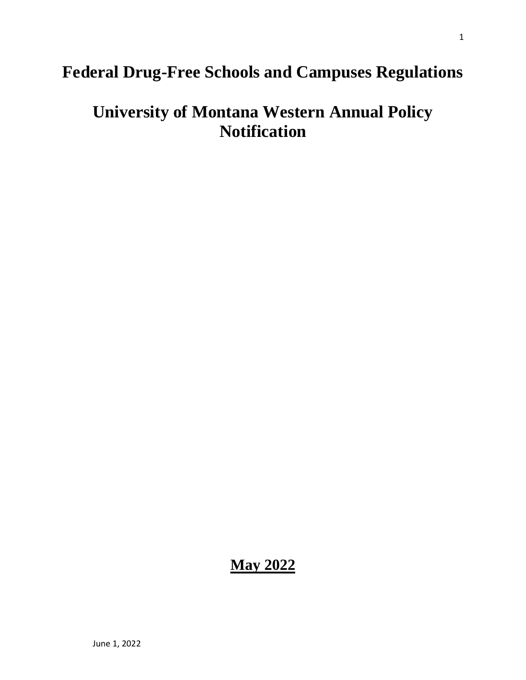## **Federal Drug-Free Schools and Campuses Regulations**

# **University of Montana Western Annual Policy Notification**

### **May 2022**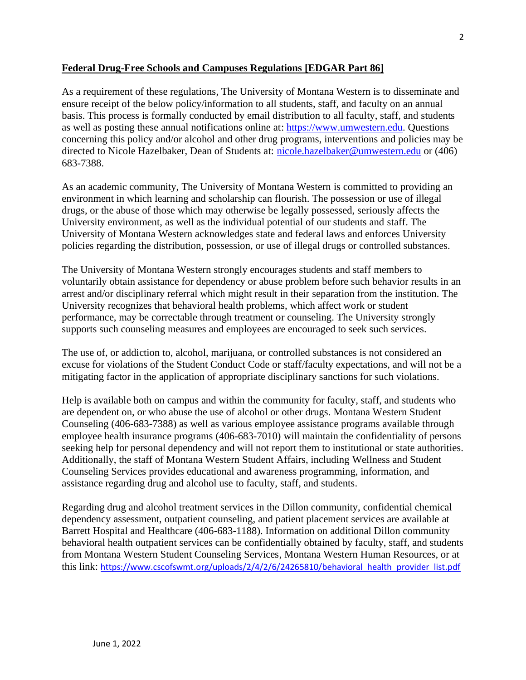#### **Federal Drug-Free Schools and Campuses Regulations [EDGAR Part 86]**

As a requirement of these regulations, The University of Montana Western is to disseminate and ensure receipt of the below policy/information to all students, staff, and faculty on an annual basis. This process is formally conducted by email distribution to all faculty, staff, and students as well as posting these annual notifications online at: [https://www.umwestern.edu.](https://www.umwestern.edu/wp-content/uploads/2018/02/Annual-Notifications.pdf/) Questions concerning this policy and/or alcohol and other drug programs, interventions and policies may be directed to Nicole Hazelbaker, Dean of Students at: [nicole.hazelbaker@umwestern.edu](mailto:nicole.hazelbaker@umwestern.edu) or (406) 683-7388.

As an academic community, The University of Montana Western is committed to providing an environment in which learning and scholarship can flourish. The possession or use of illegal drugs, or the abuse of those which may otherwise be legally possessed, seriously affects the University environment, as well as the individual potential of our students and staff. The University of Montana Western acknowledges state and federal laws and enforces University policies regarding the distribution, possession, or use of illegal drugs or controlled substances.

The University of Montana Western strongly encourages students and staff members to voluntarily obtain assistance for dependency or abuse problem before such behavior results in an arrest and/or disciplinary referral which might result in their separation from the institution. The University recognizes that behavioral health problems, which affect work or student performance, may be correctable through treatment or counseling. The University strongly supports such counseling measures and employees are encouraged to seek such services.

The use of, or addiction to, alcohol, marijuana, or controlled substances is not considered an excuse for violations of the Student Conduct Code or staff/faculty expectations, and will not be a mitigating factor in the application of appropriate disciplinary sanctions for such violations.

Help is available both on campus and within the community for faculty, staff, and students who are dependent on, or who abuse the use of alcohol or other drugs. Montana Western Student Counseling (406-683-7388) as well as various employee assistance programs available through employee health insurance programs (406-683-7010) will maintain the confidentiality of persons seeking help for personal dependency and will not report them to institutional or state authorities. Additionally, the staff of Montana Western Student Affairs, including Wellness and Student Counseling Services provides educational and awareness programming, information, and assistance regarding drug and alcohol use to faculty, staff, and students.

Regarding drug and alcohol treatment services in the Dillon community, confidential chemical dependency assessment, outpatient counseling, and patient placement services are available at Barrett Hospital and Healthcare (406-683-1188). Information on additional Dillon community behavioral health outpatient services can be confidentially obtained by faculty, staff, and students from Montana Western Student Counseling Services, Montana Western Human Resources, or at this link: [https://www.cscofswmt.org/uploads/2/4/2/6/24265810/behavioral\\_health\\_provider\\_list.pdf](https://www.cscofswmt.org/uploads/2/4/2/6/24265810/behavioral_health_provider_list.pdf)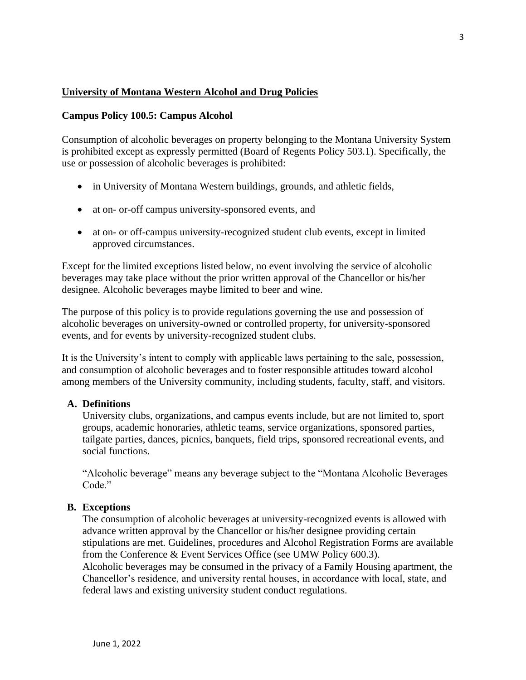#### **University of Montana Western Alcohol and Drug Policies**

#### **Campus Policy 100.5: Campus Alcohol**

Consumption of alcoholic beverages on property belonging to the Montana University System is prohibited except as expressly permitted (Board of Regents Policy 503.1). Specifically, the use or possession of alcoholic beverages is prohibited:

- in University of Montana Western buildings, grounds, and athletic fields,
- at on- or-off campus university-sponsored events, and
- at on- or off-campus university-recognized student club events, except in limited approved circumstances.

Except for the limited exceptions listed below, no event involving the service of alcoholic beverages may take place without the prior written approval of the Chancellor or his/her designee. Alcoholic beverages maybe limited to beer and wine.

The purpose of this policy is to provide regulations governing the use and possession of alcoholic beverages on university-owned or controlled property, for university-sponsored events, and for events by university-recognized student clubs.

It is the University's intent to comply with applicable laws pertaining to the sale, possession, and consumption of alcoholic beverages and to foster responsible attitudes toward alcohol among members of the University community, including students, faculty, staff, and visitors.

#### **A. Definitions**

University clubs, organizations, and campus events include, but are not limited to, sport groups, academic honoraries, athletic teams, service organizations, sponsored parties, tailgate parties, dances, picnics, banquets, field trips, sponsored recreational events, and social functions.

"Alcoholic beverage" means any beverage subject to the "Montana Alcoholic Beverages Code."

#### **B. Exceptions**

The consumption of alcoholic beverages at university-recognized events is allowed with advance written approval by the Chancellor or his/her designee providing certain stipulations are met. Guidelines, procedures and [Alcohol Registration Forms](https://www.umwestern.edu/images/pdf/alcohol-registration-form.pdf) are available from the Conference & Event Services Office (see UMW Policy 600.3).

Alcoholic beverages may be consumed in the privacy of a Family Housing apartment, the Chancellor's residence, and university rental houses, in accordance with local, state, and federal laws and existing university student conduct regulations.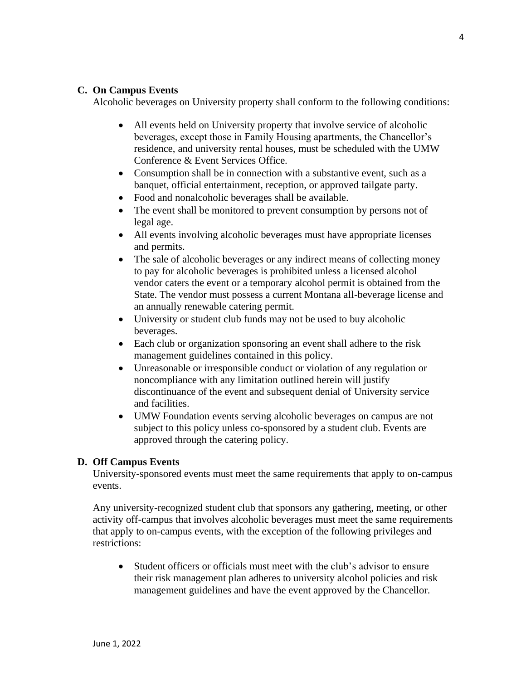#### **C. On Campus Events**

Alcoholic beverages on University property shall conform to the following conditions:

- All events held on University property that involve service of alcoholic beverages, except those in Family Housing apartments, the Chancellor's residence, and university rental houses, must be scheduled with the UMW Conference & Event Services Office.
- Consumption shall be in connection with a substantive event, such as a banquet, official entertainment, reception, or approved tailgate party.
- Food and nonalcoholic beverages shall be available.
- The event shall be monitored to prevent consumption by persons not of legal age.
- All events involving alcoholic beverages must have appropriate licenses and permits.
- The sale of alcoholic beverages or any indirect means of collecting money to pay for alcoholic beverages is prohibited unless a licensed alcohol vendor caters the event or a temporary alcohol permit is obtained from the State. The vendor must possess a current Montana all-beverage license and an annually renewable catering permit.
- University or student club funds may not be used to buy alcoholic beverages.
- Each club or organization sponsoring an event shall adhere to the risk management guidelines contained in this policy.
- Unreasonable or irresponsible conduct or violation of any regulation or noncompliance with any limitation outlined herein will justify discontinuance of the event and subsequent denial of University service and facilities.
- UMW Foundation events serving alcoholic beverages on campus are not subject to this policy unless co-sponsored by a student club. Events are approved through the catering policy.

#### **D. Off Campus Events**

University-sponsored events must meet the same requirements that apply to on-campus events.

Any university-recognized student club that sponsors any gathering, meeting, or other activity off-campus that involves alcoholic beverages must meet the same requirements that apply to on-campus events, with the exception of the following privileges and restrictions:

• Student officers or officials must meet with the club's advisor to ensure their risk management plan adheres to university alcohol policies and risk management guidelines and have the event approved by the Chancellor.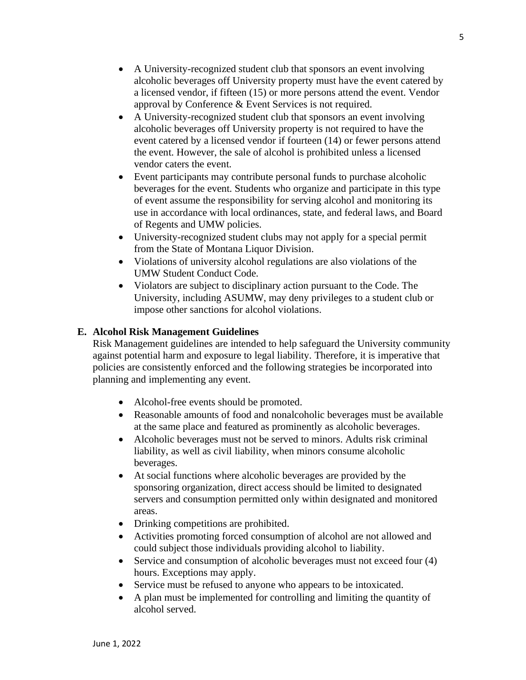- A University-recognized student club that sponsors an event involving alcoholic beverages off University property must have the event catered by a licensed vendor, if fifteen (15) or more persons attend the event. Vendor approval by Conference & Event Services is not required.
- A University-recognized student club that sponsors an event involving alcoholic beverages off University property is not required to have the event catered by a licensed vendor if fourteen (14) or fewer persons attend the event. However, the sale of alcohol is prohibited unless a licensed vendor caters the event.
- Event participants may contribute personal funds to purchase alcoholic beverages for the event. Students who organize and participate in this type of event assume the responsibility for serving alcohol and monitoring its use in accordance with local ordinances, state, and federal laws, and Board of Regents and UMW policies.
- University-recognized student clubs may not apply for a special permit from the State of Montana Liquor Division.
- Violations of university alcohol regulations are also violations of the UMW Student Conduct Code.
- Violators are subject to disciplinary action pursuant to the Code. The University, including ASUMW, may deny privileges to a student club or impose other sanctions for alcohol violations.

#### **E. Alcohol Risk Management Guidelines**

Risk Management guidelines are intended to help safeguard the University community against potential harm and exposure to legal liability. Therefore, it is imperative that policies are consistently enforced and the following strategies be incorporated into planning and implementing any event.

- Alcohol-free events should be promoted.
- Reasonable amounts of food and nonalcoholic beverages must be available at the same place and featured as prominently as alcoholic beverages.
- Alcoholic beverages must not be served to minors. Adults risk criminal liability, as well as civil liability, when minors consume alcoholic beverages.
- At social functions where alcoholic beverages are provided by the sponsoring organization, direct access should be limited to designated servers and consumption permitted only within designated and monitored areas.
- Drinking competitions are prohibited.
- Activities promoting forced consumption of alcohol are not allowed and could subject those individuals providing alcohol to liability.
- Service and consumption of alcoholic beverages must not exceed four (4) hours. Exceptions may apply.
- Service must be refused to anyone who appears to be intoxicated.
- A plan must be implemented for controlling and limiting the quantity of alcohol served.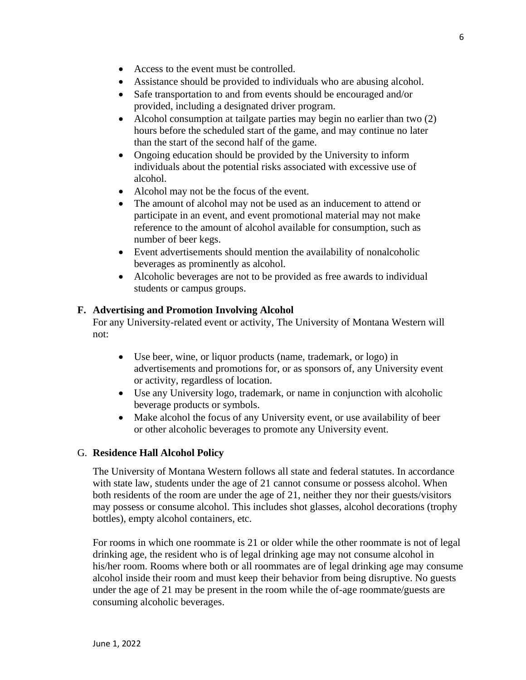- Access to the event must be controlled.
- Assistance should be provided to individuals who are abusing alcohol.
- Safe transportation to and from events should be encouraged and/or provided, including a designated driver program.
- Alcohol consumption at tailgate parties may begin no earlier than two (2) hours before the scheduled start of the game, and may continue no later than the start of the second half of the game.
- Ongoing education should be provided by the University to inform individuals about the potential risks associated with excessive use of alcohol.
- Alcohol may not be the focus of the event.
- The amount of alcohol may not be used as an inducement to attend or participate in an event, and event promotional material may not make reference to the amount of alcohol available for consumption, such as number of beer kegs.
- Event advertisements should mention the availability of nonalcoholic beverages as prominently as alcohol.
- Alcoholic beverages are not to be provided as free awards to individual students or campus groups.

#### **F. Advertising and Promotion Involving Alcohol**

For any University-related event or activity, The University of Montana Western will not:

- Use beer, wine, or liquor products (name, trademark, or logo) in advertisements and promotions for, or as sponsors of, any University event or activity, regardless of location.
- Use any University logo, trademark, or name in conjunction with alcoholic beverage products or symbols.
- Make alcohol the focus of any University event, or use availability of beer or other alcoholic beverages to promote any University event.

#### G. **Residence Hall Alcohol Policy**

The University of Montana Western follows all state and federal statutes. In accordance with state law, students under the age of 21 cannot consume or possess alcohol. When both residents of the room are under the age of 21, neither they nor their guests/visitors may possess or consume alcohol. This includes shot glasses, alcohol decorations (trophy bottles), empty alcohol containers, etc.

For rooms in which one roommate is 21 or older while the other roommate is not of legal drinking age, the resident who is of legal drinking age may not consume alcohol in his/her room. Rooms where both or all roommates are of legal drinking age may consume alcohol inside their room and must keep their behavior from being disruptive. No guests under the age of 21 may be present in the room while the of-age roommate/guests are consuming alcoholic beverages.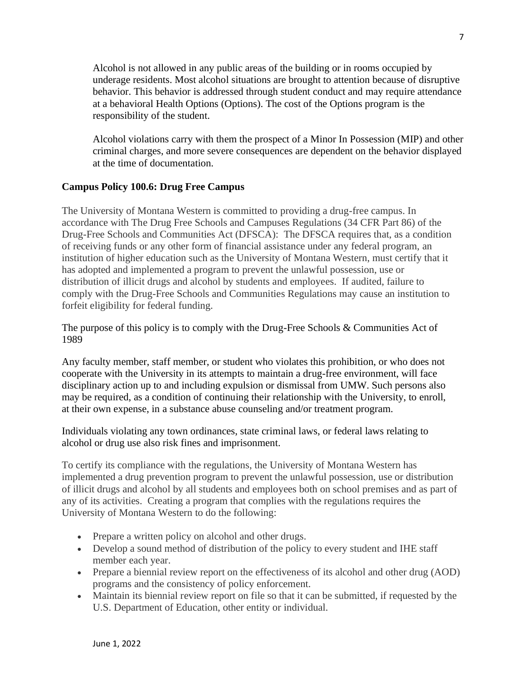Alcohol is not allowed in any public areas of the building or in rooms occupied by underage residents. Most alcohol situations are brought to attention because of disruptive behavior. This behavior is addressed through student conduct and may require attendance at a behavioral Health Options (Options). The cost of the Options program is the responsibility of the student.

Alcohol violations carry with them the prospect of a Minor In Possession (MIP) and other criminal charges, and more severe consequences are dependent on the behavior displayed at the time of documentation.

#### **Campus Policy 100.6: Drug Free Campus**

The University of Montana Western is committed to providing a drug-free campus. In accordance with The Drug Free Schools and Campuses Regulations (34 CFR Part 86) of the Drug-Free Schools and Communities Act (DFSCA): The DFSCA requires that, as a condition of receiving funds or any other form of financial assistance under any federal program, an institution of higher education such as the University of Montana Western, must certify that it has adopted and implemented a program to prevent the unlawful possession, use or distribution of illicit drugs and alcohol by students and employees. If audited, failure to comply with the Drug-Free Schools and Communities Regulations may cause an institution to forfeit eligibility for federal funding.

The purpose of this policy is to comply with the Drug-Free Schools & Communities Act of 1989

Any faculty member, staff member, or student who violates this prohibition, or who does not cooperate with the University in its attempts to maintain a drug-free environment, will face disciplinary action up to and including expulsion or dismissal from UMW. Such persons also may be required, as a condition of continuing their relationship with the University, to enroll, at their own expense, in a substance abuse counseling and/or treatment program.

Individuals violating any town ordinances, state criminal laws, or federal laws relating to alcohol or drug use also risk fines and imprisonment.

To certify its compliance with the regulations, the University of Montana Western has implemented a drug prevention program to prevent the unlawful possession, use or distribution of illicit drugs and alcohol by all students and employees both on school premises and as part of any of its activities. Creating a program that complies with the regulations requires the University of Montana Western to do the following:

- Prepare a written policy on alcohol and other drugs.
- Develop a sound method of distribution of the policy to every student and IHE staff member each year.
- Prepare a biennial review report on the effectiveness of its alcohol and other drug (AOD) programs and the consistency of policy enforcement.
- Maintain its biennial review report on file so that it can be submitted, if requested by the U.S. Department of Education, other entity or individual.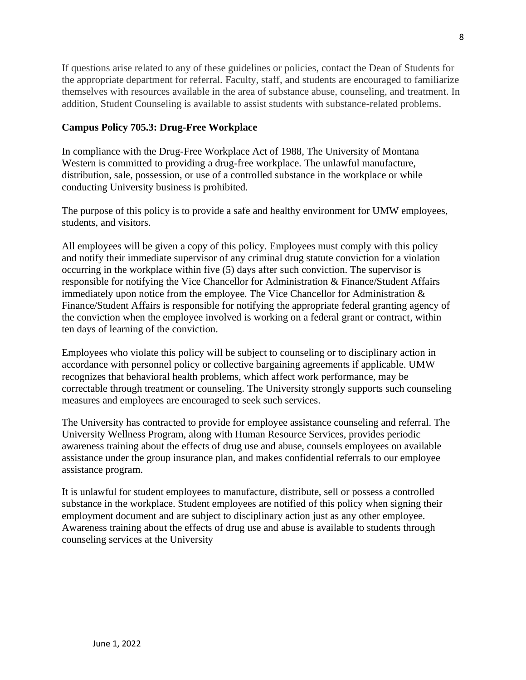If questions arise related to any of these guidelines or policies, contact the Dean of Students for the appropriate department for referral. Faculty, staff, and students are encouraged to familiarize themselves with resources available in the area of substance abuse, counseling, and treatment. In addition, Student Counseling is available to assist students with substance-related problems.

#### **Campus Policy 705.3: Drug-Free Workplace**

In compliance with the Drug-Free Workplace Act of 1988, The University of Montana Western is committed to providing a drug-free workplace. The unlawful manufacture, distribution, sale, possession, or use of a controlled substance in the workplace or while conducting University business is prohibited.

The purpose of this policy is to provide a safe and healthy environment for UMW employees, students, and visitors.

All employees will be given a copy of this policy. Employees must comply with this policy and notify their immediate supervisor of any criminal drug statute conviction for a violation occurring in the workplace within five (5) days after such conviction. The supervisor is responsible for notifying the Vice Chancellor for Administration & Finance/Student Affairs immediately upon notice from the employee. The Vice Chancellor for Administration & Finance/Student Affairs is responsible for notifying the appropriate federal granting agency of the conviction when the employee involved is working on a federal grant or contract, within ten days of learning of the conviction.

Employees who violate this policy will be subject to counseling or to disciplinary action in accordance with personnel policy or collective bargaining agreements if applicable. UMW recognizes that behavioral health problems, which affect work performance, may be correctable through treatment or counseling. The University strongly supports such counseling measures and employees are encouraged to seek such services.

The University has contracted to provide for employee assistance counseling and referral. The University Wellness Program, along with Human Resource Services, provides periodic awareness training about the effects of drug use and abuse, counsels employees on available assistance under the group insurance plan, and makes confidential referrals to our employee assistance program.

It is unlawful for student employees to manufacture, distribute, sell or possess a controlled substance in the workplace. Student employees are notified of this policy when signing their employment document and are subject to disciplinary action just as any other employee. Awareness training about the effects of drug use and abuse is available to students through counseling services at the University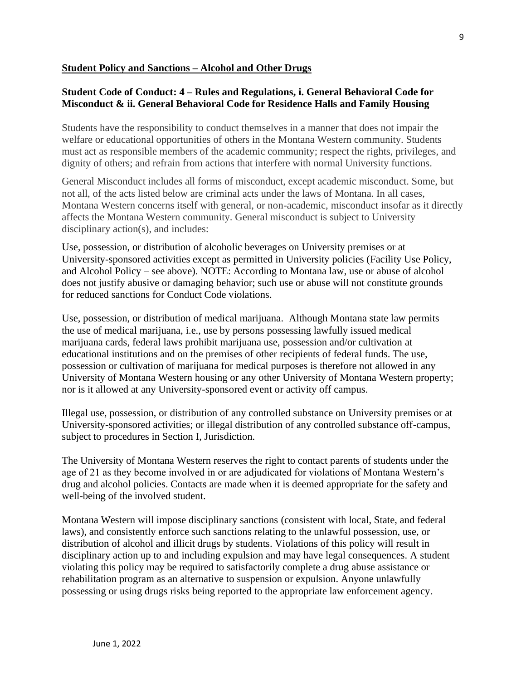#### **Student Policy and Sanctions – Alcohol and Other Drugs**

#### **Student Code of Conduct: 4 – Rules and Regulations, i. General Behavioral Code for Misconduct & ii. General Behavioral Code for Residence Halls and Family Housing**

Students have the responsibility to conduct themselves in a manner that does not impair the welfare or educational opportunities of others in the Montana Western community. Students must act as responsible members of the academic community; respect the rights, privileges, and dignity of others; and refrain from actions that interfere with normal University functions.

General Misconduct includes all forms of misconduct, except academic misconduct. Some, but not all, of the acts listed below are criminal acts under the laws of Montana. In all cases, Montana Western concerns itself with general, or non-academic, misconduct insofar as it directly affects the Montana Western community. General misconduct is subject to University disciplinary action(s), and includes:

Use, possession, or distribution of alcoholic beverages on University premises or at University-sponsored activities except as permitted in University policies (Facility Use Policy, and Alcohol Policy – see above). NOTE: According to Montana law, use or abuse of alcohol does not justify abusive or damaging behavior; such use or abuse will not constitute grounds for reduced sanctions for Conduct Code violations.

Use, possession, or distribution of medical marijuana. Although Montana state law permits the use of medical marijuana, i.e., use by persons possessing lawfully issued medical marijuana cards, federal laws prohibit marijuana use, possession and/or cultivation at educational institutions and on the premises of other recipients of federal funds. The use, possession or cultivation of marijuana for medical purposes is therefore not allowed in any University of Montana Western housing or any other University of Montana Western property; nor is it allowed at any University-sponsored event or activity off campus.

Illegal use, possession, or distribution of any controlled substance on University premises or at University-sponsored activities; or illegal distribution of any controlled substance off-campus, subject to procedures in Section I, Jurisdiction.

The University of Montana Western reserves the right to contact parents of students under the age of 21 as they become involved in or are adjudicated for violations of Montana Western's drug and alcohol policies. Contacts are made when it is deemed appropriate for the safety and well-being of the involved student.

Montana Western will impose disciplinary sanctions (consistent with local, State, and federal laws), and consistently enforce such sanctions relating to the unlawful possession, use, or distribution of alcohol and illicit drugs by students. Violations of this policy will result in disciplinary action up to and including expulsion and may have legal consequences. A student violating this policy may be required to satisfactorily complete a drug abuse assistance or rehabilitation program as an alternative to suspension or expulsion. Anyone unlawfully possessing or using drugs risks being reported to the appropriate law enforcement agency.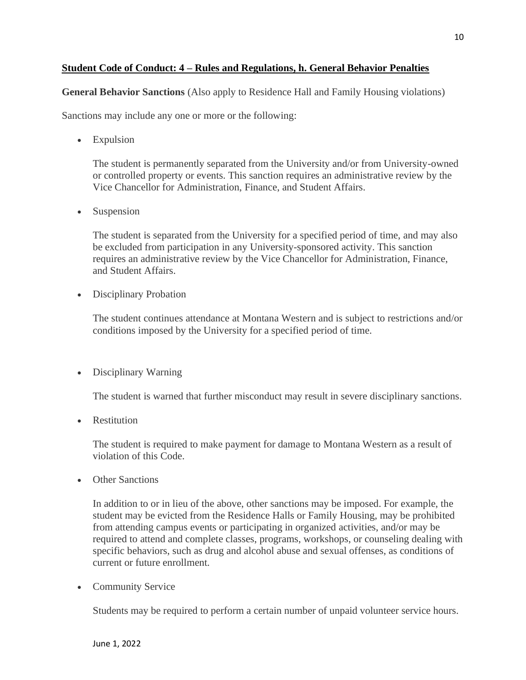#### **Student Code of Conduct: 4 – Rules and Regulations, h. General Behavior Penalties**

**General Behavior Sanctions** (Also apply to Residence Hall and Family Housing violations)

Sanctions may include any one or more or the following:

• Expulsion

The student is permanently separated from the University and/or from University-owned or controlled property or events. This sanction requires an administrative review by the Vice Chancellor for Administration, Finance, and Student Affairs.

• Suspension

The student is separated from the University for a specified period of time, and may also be excluded from participation in any University-sponsored activity. This sanction requires an administrative review by the Vice Chancellor for Administration, Finance, and Student Affairs.

• Disciplinary Probation

The student continues attendance at Montana Western and is subject to restrictions and/or conditions imposed by the University for a specified period of time.

• Disciplinary Warning

The student is warned that further misconduct may result in severe disciplinary sanctions.

• Restitution

The student is required to make payment for damage to Montana Western as a result of violation of this Code.

• Other Sanctions

In addition to or in lieu of the above, other sanctions may be imposed. For example, the student may be evicted from the Residence Halls or Family Housing, may be prohibited from attending campus events or participating in organized activities, and/or may be required to attend and complete classes, programs, workshops, or counseling dealing with specific behaviors, such as drug and alcohol abuse and sexual offenses, as conditions of current or future enrollment.

• Community Service

Students may be required to perform a certain number of unpaid volunteer service hours.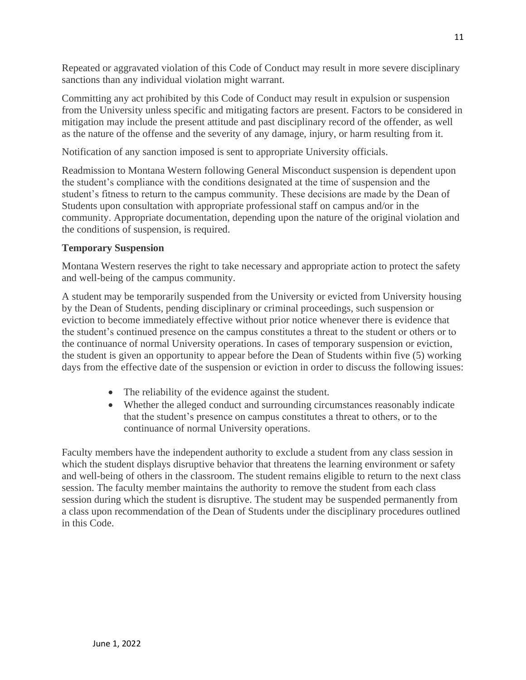Repeated or aggravated violation of this Code of Conduct may result in more severe disciplinary sanctions than any individual violation might warrant.

Committing any act prohibited by this Code of Conduct may result in expulsion or suspension from the University unless specific and mitigating factors are present. Factors to be considered in mitigation may include the present attitude and past disciplinary record of the offender, as well as the nature of the offense and the severity of any damage, injury, or harm resulting from it.

Notification of any sanction imposed is sent to appropriate University officials.

Readmission to Montana Western following General Misconduct suspension is dependent upon the student's compliance with the conditions designated at the time of suspension and the student's fitness to return to the campus community. These decisions are made by the Dean of Students upon consultation with appropriate professional staff on campus and/or in the community. Appropriate documentation, depending upon the nature of the original violation and the conditions of suspension, is required.

#### **Temporary Suspension**

Montana Western reserves the right to take necessary and appropriate action to protect the safety and well-being of the campus community.

A student may be temporarily suspended from the University or evicted from University housing by the Dean of Students, pending disciplinary or criminal proceedings, such suspension or eviction to become immediately effective without prior notice whenever there is evidence that the student's continued presence on the campus constitutes a threat to the student or others or to the continuance of normal University operations. In cases of temporary suspension or eviction, the student is given an opportunity to appear before the Dean of Students within five (5) working days from the effective date of the suspension or eviction in order to discuss the following issues:

- The reliability of the evidence against the student.
- Whether the alleged conduct and surrounding circumstances reasonably indicate that the student's presence on campus constitutes a threat to others, or to the continuance of normal University operations.

Faculty members have the independent authority to exclude a student from any class session in which the student displays disruptive behavior that threatens the learning environment or safety and well-being of others in the classroom. The student remains eligible to return to the next class session. The faculty member maintains the authority to remove the student from each class session during which the student is disruptive. The student may be suspended permanently from a class upon recommendation of the Dean of Students under the disciplinary procedures outlined in this Code.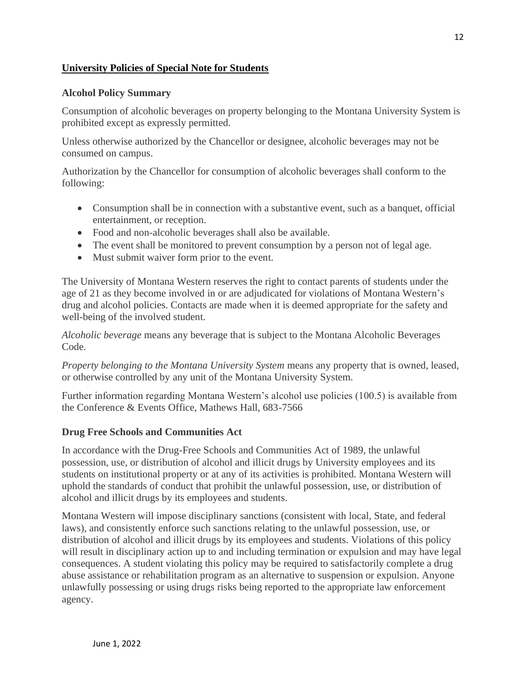#### **University Policies of Special Note for Students**

#### **Alcohol Policy Summary**

Consumption of alcoholic beverages on property belonging to the Montana University System is prohibited except as expressly permitted.

Unless otherwise authorized by the Chancellor or designee, alcoholic beverages may not be consumed on campus.

Authorization by the Chancellor for consumption of alcoholic beverages shall conform to the following:

- Consumption shall be in connection with a substantive event, such as a banquet, official entertainment, or reception.
- Food and non-alcoholic beverages shall also be available.
- The event shall be monitored to prevent consumption by a person not of legal age.
- Must submit waiver form prior to the event.

The University of Montana Western reserves the right to contact parents of students under the age of 21 as they become involved in or are adjudicated for violations of Montana Western's drug and alcohol policies. Contacts are made when it is deemed appropriate for the safety and well-being of the involved student.

*Alcoholic beverage* means any beverage that is subject to the Montana Alcoholic Beverages Code.

*Property belonging to the Montana University System* means any property that is owned, leased, or otherwise controlled by any unit of the Montana University System.

Further information regarding Montana Western's alcohol use policies (100.5) is available from the Conference & Events Office, Mathews Hall, 683-7566

#### **Drug Free Schools and Communities Act**

In accordance with the Drug-Free Schools and Communities Act of 1989, the unlawful possession, use, or distribution of alcohol and illicit drugs by University employees and its students on institutional property or at any of its activities is prohibited. Montana Western will uphold the standards of conduct that prohibit the unlawful possession, use, or distribution of alcohol and illicit drugs by its employees and students.

Montana Western will impose disciplinary sanctions (consistent with local, State, and federal laws), and consistently enforce such sanctions relating to the unlawful possession, use, or distribution of alcohol and illicit drugs by its employees and students. Violations of this policy will result in disciplinary action up to and including termination or expulsion and may have legal consequences. A student violating this policy may be required to satisfactorily complete a drug abuse assistance or rehabilitation program as an alternative to suspension or expulsion. Anyone unlawfully possessing or using drugs risks being reported to the appropriate law enforcement agency.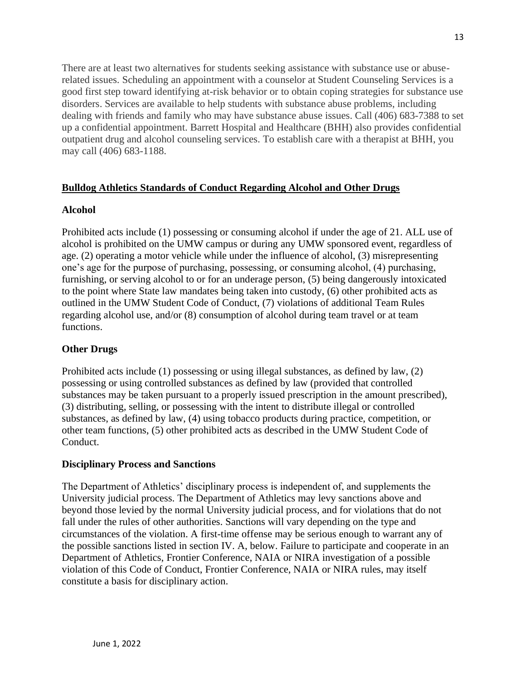There are at least two alternatives for students seeking assistance with substance use or abuserelated issues. Scheduling an appointment with a counselor at Student Counseling Services is a good first step toward identifying at-risk behavior or to obtain coping strategies for substance use disorders. Services are available to help students with substance abuse problems, including dealing with friends and family who may have substance abuse issues. Call (406) 683-7388 to set up a confidential appointment. Barrett Hospital and Healthcare (BHH) also provides confidential outpatient drug and alcohol counseling services. To establish care with a therapist at BHH, you may call (406) 683-1188.

#### **Bulldog Athletics Standards of Conduct Regarding Alcohol and Other Drugs**

#### **Alcohol**

Prohibited acts include (1) possessing or consuming alcohol if under the age of 21. ALL use of alcohol is prohibited on the UMW campus or during any UMW sponsored event, regardless of age. (2) operating a motor vehicle while under the influence of alcohol, (3) misrepresenting one's age for the purpose of purchasing, possessing, or consuming alcohol, (4) purchasing, furnishing, or serving alcohol to or for an underage person, (5) being dangerously intoxicated to the point where State law mandates being taken into custody, (6) other prohibited acts as outlined in the UMW Student Code of Conduct, (7) violations of additional Team Rules regarding alcohol use, and/or (8) consumption of alcohol during team travel or at team functions.

#### **Other Drugs**

Prohibited acts include (1) possessing or using illegal substances, as defined by law, (2) possessing or using controlled substances as defined by law (provided that controlled substances may be taken pursuant to a properly issued prescription in the amount prescribed), (3) distributing, selling, or possessing with the intent to distribute illegal or controlled substances, as defined by law, (4) using tobacco products during practice, competition, or other team functions, (5) other prohibited acts as described in the UMW Student Code of Conduct.

#### **Disciplinary Process and Sanctions**

The Department of Athletics' disciplinary process is independent of, and supplements the University judicial process. The Department of Athletics may levy sanctions above and beyond those levied by the normal University judicial process, and for violations that do not fall under the rules of other authorities. Sanctions will vary depending on the type and circumstances of the violation. A first-time offense may be serious enough to warrant any of the possible sanctions listed in section IV. A, below. Failure to participate and cooperate in an Department of Athletics, Frontier Conference, NAIA or NIRA investigation of a possible violation of this Code of Conduct, Frontier Conference, NAIA or NIRA rules, may itself constitute a basis for disciplinary action.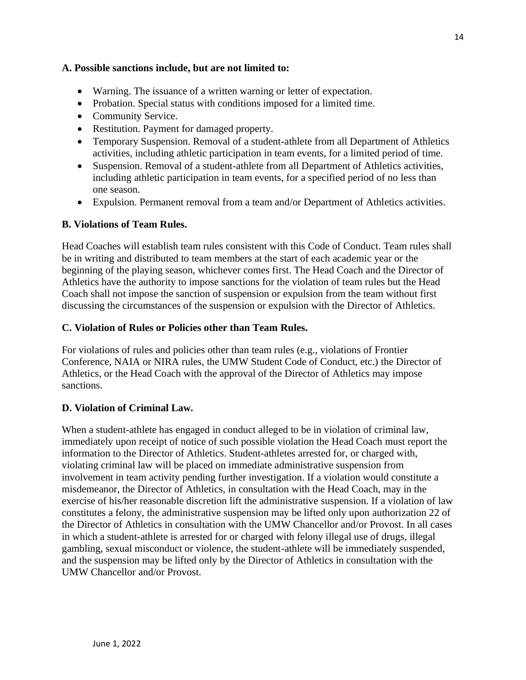#### **A. Possible sanctions include, but are not limited to:**

- Warning. The issuance of a written warning or letter of expectation.
- Probation. Special status with conditions imposed for a limited time.
- Community Service.
- Restitution. Payment for damaged property.
- Temporary Suspension. Removal of a student-athlete from all Department of Athletics activities, including athletic participation in team events, for a limited period of time.
- Suspension. Removal of a student-athlete from all Department of Athletics activities, including athletic participation in team events, for a specified period of no less than one season.
- Expulsion. Permanent removal from a team and/or Department of Athletics activities.

#### **B. Violations of Team Rules.**

Head Coaches will establish team rules consistent with this Code of Conduct. Team rules shall be in writing and distributed to team members at the start of each academic year or the beginning of the playing season, whichever comes first. The Head Coach and the Director of Athletics have the authority to impose sanctions for the violation of team rules but the Head Coach shall not impose the sanction of suspension or expulsion from the team without first discussing the circumstances of the suspension or expulsion with the Director of Athletics.

#### **C. Violation of Rules or Policies other than Team Rules.**

For violations of rules and policies other than team rules (e.g., violations of Frontier Conference, NAIA or NIRA rules, the UMW Student Code of Conduct, etc.) the Director of Athletics, or the Head Coach with the approval of the Director of Athletics may impose sanctions.

#### **D. Violation of Criminal Law.**

When a student-athlete has engaged in conduct alleged to be in violation of criminal law, immediately upon receipt of notice of such possible violation the Head Coach must report the information to the Director of Athletics. Student-athletes arrested for, or charged with, violating criminal law will be placed on immediate administrative suspension from involvement in team activity pending further investigation. If a violation would constitute a misdemeanor, the Director of Athletics, in consultation with the Head Coach, may in the exercise of his/her reasonable discretion lift the administrative suspension. If a violation of law constitutes a felony, the administrative suspension may be lifted only upon authorization 22 of the Director of Athletics in consultation with the UMW Chancellor and/or Provost. In all cases in which a student-athlete is arrested for or charged with felony illegal use of drugs, illegal gambling, sexual misconduct or violence, the student-athlete will be immediately suspended, and the suspension may be lifted only by the Director of Athletics in consultation with the UMW Chancellor and/or Provost.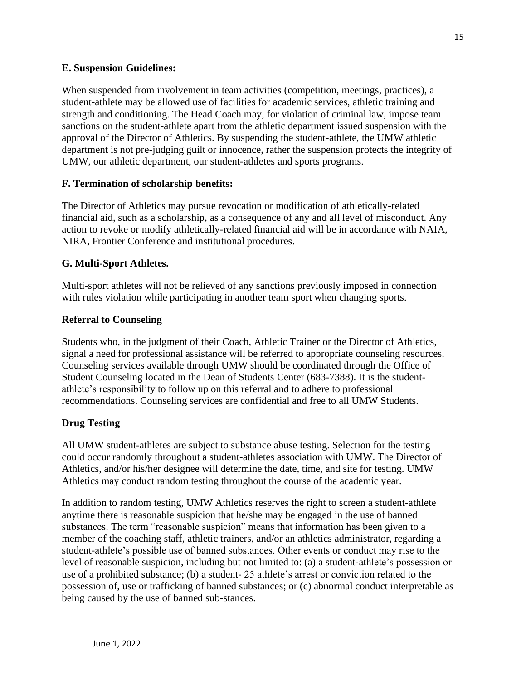#### **E. Suspension Guidelines:**

When suspended from involvement in team activities (competition, meetings, practices), a student-athlete may be allowed use of facilities for academic services, athletic training and strength and conditioning. The Head Coach may, for violation of criminal law, impose team sanctions on the student-athlete apart from the athletic department issued suspension with the approval of the Director of Athletics. By suspending the student-athlete, the UMW athletic department is not pre-judging guilt or innocence, rather the suspension protects the integrity of UMW, our athletic department, our student-athletes and sports programs.

#### **F. Termination of scholarship benefits:**

The Director of Athletics may pursue revocation or modification of athletically-related financial aid, such as a scholarship, as a consequence of any and all level of misconduct. Any action to revoke or modify athletically-related financial aid will be in accordance with NAIA, NIRA, Frontier Conference and institutional procedures.

#### **G. Multi-Sport Athletes.**

Multi-sport athletes will not be relieved of any sanctions previously imposed in connection with rules violation while participating in another team sport when changing sports.

#### **Referral to Counseling**

Students who, in the judgment of their Coach, Athletic Trainer or the Director of Athletics, signal a need for professional assistance will be referred to appropriate counseling resources. Counseling services available through UMW should be coordinated through the Office of Student Counseling located in the Dean of Students Center (683-7388). It is the studentathlete's responsibility to follow up on this referral and to adhere to professional recommendations. Counseling services are confidential and free to all UMW Students.

#### **Drug Testing**

All UMW student-athletes are subject to substance abuse testing. Selection for the testing could occur randomly throughout a student-athletes association with UMW. The Director of Athletics, and/or his/her designee will determine the date, time, and site for testing. UMW Athletics may conduct random testing throughout the course of the academic year.

In addition to random testing, UMW Athletics reserves the right to screen a student-athlete anytime there is reasonable suspicion that he/she may be engaged in the use of banned substances. The term "reasonable suspicion" means that information has been given to a member of the coaching staff, athletic trainers, and/or an athletics administrator, regarding a student-athlete's possible use of banned substances. Other events or conduct may rise to the level of reasonable suspicion, including but not limited to: (a) a student-athlete's possession or use of a prohibited substance; (b) a student- 25 athlete's arrest or conviction related to the possession of, use or trafficking of banned substances; or (c) abnormal conduct interpretable as being caused by the use of banned sub-stances.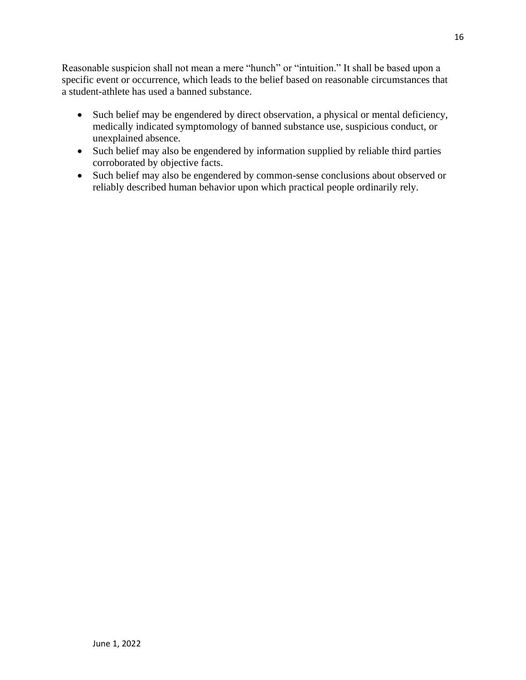Reasonable suspicion shall not mean a mere "hunch" or "intuition." It shall be based upon a specific event or occurrence, which leads to the belief based on reasonable circumstances that a student-athlete has used a banned substance.

- Such belief may be engendered by direct observation, a physical or mental deficiency, medically indicated symptomology of banned substance use, suspicious conduct, or unexplained absence.
- Such belief may also be engendered by information supplied by reliable third parties corroborated by objective facts.
- Such belief may also be engendered by common-sense conclusions about observed or reliably described human behavior upon which practical people ordinarily rely.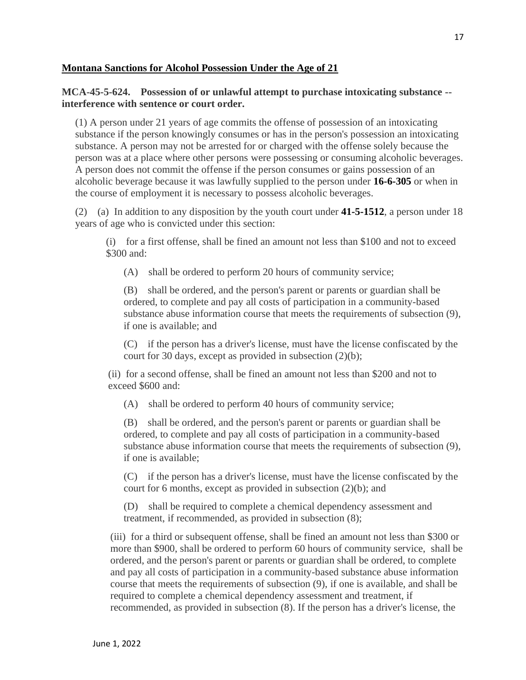#### **Montana Sanctions for Alcohol Possession Under the Age of 21**

#### **MCA-45-5-624. Possession of or unlawful attempt to purchase intoxicating substance - interference with sentence or court order.**

(1) A person under 21 years of age commits the offense of possession of an intoxicating substance if the person knowingly consumes or has in the person's possession an intoxicating substance. A person may not be arrested for or charged with the offense solely because the person was at a place where other persons were possessing or consuming alcoholic beverages. A person does not commit the offense if the person consumes or gains possession of an alcoholic beverage because it was lawfully supplied to the person under **[16-6-305](http://leg.mt.gov/bills/mca/title_0160/chapter_0060/part_0030/section_0050/0160-0060-0030-0050.html)** or when in the course of employment it is necessary to possess alcoholic beverages.

(2) (a) In addition to any disposition by the youth court under **[41-5-1512](http://leg.mt.gov/bills/mca/title_0410/chapter_0050/part_0150/section_0120/0410-0050-0150-0120.html)**, a person under 18 years of age who is convicted under this section:

(i) for a first offense, shall be fined an amount not less than \$100 and not to exceed \$300 and:

(A) shall be ordered to perform 20 hours of community service;

(B) shall be ordered, and the person's parent or parents or guardian shall be ordered, to complete and pay all costs of participation in a community-based substance abuse information course that meets the requirements of subsection (9), if one is available; and

(C) if the person has a driver's license, must have the license confiscated by the court for 30 days, except as provided in subsection (2)(b);

(ii) for a second offense, shall be fined an amount not less than \$200 and not to exceed \$600 and:

(A) shall be ordered to perform 40 hours of community service;

(B) shall be ordered, and the person's parent or parents or guardian shall be ordered, to complete and pay all costs of participation in a community-based substance abuse information course that meets the requirements of subsection (9), if one is available;

(C) if the person has a driver's license, must have the license confiscated by the court for 6 months, except as provided in subsection (2)(b); and

(D) shall be required to complete a chemical dependency assessment and treatment, if recommended, as provided in subsection (8);

(iii) for a third or subsequent offense, shall be fined an amount not less than \$300 or more than \$900, shall be ordered to perform 60 hours of community service, shall be ordered, and the person's parent or parents or guardian shall be ordered, to complete and pay all costs of participation in a community-based substance abuse information course that meets the requirements of subsection (9), if one is available, and shall be required to complete a chemical dependency assessment and treatment, if recommended, as provided in subsection (8). If the person has a driver's license, the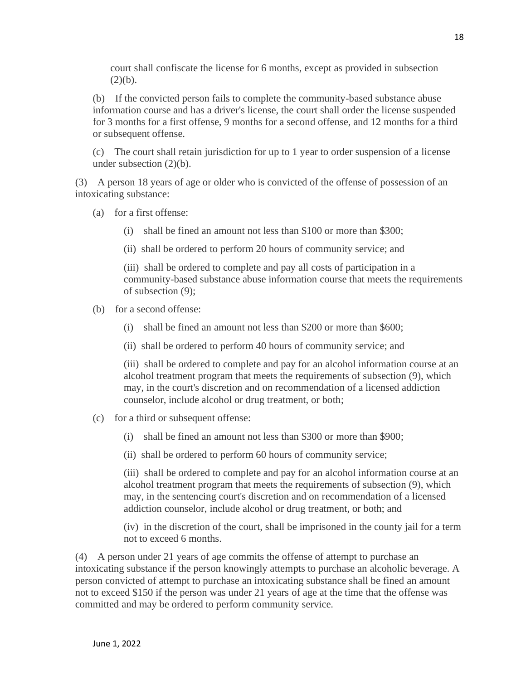court shall confiscate the license for 6 months, except as provided in subsection  $(2)(b)$ .

(b) If the convicted person fails to complete the community-based substance abuse information course and has a driver's license, the court shall order the license suspended for 3 months for a first offense, 9 months for a second offense, and 12 months for a third or subsequent offense.

(c) The court shall retain jurisdiction for up to 1 year to order suspension of a license under subsection (2)(b).

(3) A person 18 years of age or older who is convicted of the offense of possession of an intoxicating substance:

- (a) for a first offense:
	- (i) shall be fined an amount not less than \$100 or more than \$300;
	- (ii) shall be ordered to perform 20 hours of community service; and

(iii) shall be ordered to complete and pay all costs of participation in a community-based substance abuse information course that meets the requirements of subsection (9);

- (b) for a second offense:
	- (i) shall be fined an amount not less than \$200 or more than \$600;
	- (ii) shall be ordered to perform 40 hours of community service; and

(iii) shall be ordered to complete and pay for an alcohol information course at an alcohol treatment program that meets the requirements of subsection (9), which may, in the court's discretion and on recommendation of a licensed addiction counselor, include alcohol or drug treatment, or both;

- (c) for a third or subsequent offense:
	- (i) shall be fined an amount not less than \$300 or more than \$900;
	- (ii) shall be ordered to perform 60 hours of community service;

(iii) shall be ordered to complete and pay for an alcohol information course at an alcohol treatment program that meets the requirements of subsection (9), which may, in the sentencing court's discretion and on recommendation of a licensed addiction counselor, include alcohol or drug treatment, or both; and

(iv) in the discretion of the court, shall be imprisoned in the county jail for a term not to exceed 6 months.

(4) A person under 21 years of age commits the offense of attempt to purchase an intoxicating substance if the person knowingly attempts to purchase an alcoholic beverage. A person convicted of attempt to purchase an intoxicating substance shall be fined an amount not to exceed \$150 if the person was under 21 years of age at the time that the offense was committed and may be ordered to perform community service.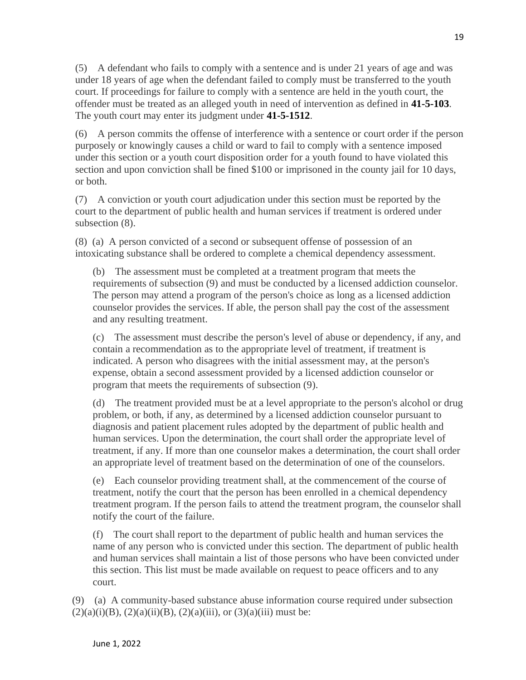(5) A defendant who fails to comply with a sentence and is under 21 years of age and was under 18 years of age when the defendant failed to comply must be transferred to the youth court. If proceedings for failure to comply with a sentence are held in the youth court, the offender must be treated as an alleged youth in need of intervention as defined in **[41-5-103](http://leg.mt.gov/bills/mca/title_0410/chapter_0050/part_0010/section_0030/0410-0050-0010-0030.html)**. The youth court may enter its judgment under **[41-5-1512](http://leg.mt.gov/bills/mca/title_0410/chapter_0050/part_0150/section_0120/0410-0050-0150-0120.html)**.

(6) A person commits the offense of interference with a sentence or court order if the person purposely or knowingly causes a child or ward to fail to comply with a sentence imposed under this section or a youth court disposition order for a youth found to have violated this section and upon conviction shall be fined \$100 or imprisoned in the county jail for 10 days, or both.

(7) A conviction or youth court adjudication under this section must be reported by the court to the department of public health and human services if treatment is ordered under subsection  $(8)$ .

(8) (a) A person convicted of a second or subsequent offense of possession of an intoxicating substance shall be ordered to complete a chemical dependency assessment.

(b) The assessment must be completed at a treatment program that meets the requirements of subsection (9) and must be conducted by a licensed addiction counselor. The person may attend a program of the person's choice as long as a licensed addiction counselor provides the services. If able, the person shall pay the cost of the assessment and any resulting treatment.

(c) The assessment must describe the person's level of abuse or dependency, if any, and contain a recommendation as to the appropriate level of treatment, if treatment is indicated. A person who disagrees with the initial assessment may, at the person's expense, obtain a second assessment provided by a licensed addiction counselor or program that meets the requirements of subsection (9).

(d) The treatment provided must be at a level appropriate to the person's alcohol or drug problem, or both, if any, as determined by a licensed addiction counselor pursuant to diagnosis and patient placement rules adopted by the department of public health and human services. Upon the determination, the court shall order the appropriate level of treatment, if any. If more than one counselor makes a determination, the court shall order an appropriate level of treatment based on the determination of one of the counselors.

(e) Each counselor providing treatment shall, at the commencement of the course of treatment, notify the court that the person has been enrolled in a chemical dependency treatment program. If the person fails to attend the treatment program, the counselor shall notify the court of the failure.

(f) The court shall report to the department of public health and human services the name of any person who is convicted under this section. The department of public health and human services shall maintain a list of those persons who have been convicted under this section. This list must be made available on request to peace officers and to any court.

(9) (a) A community-based substance abuse information course required under subsection  $(2)(a)(i)(B)$ ,  $(2)(a)(ii)(B)$ ,  $(2)(a)(iii)$ , or  $(3)(a)(iii)$  must be: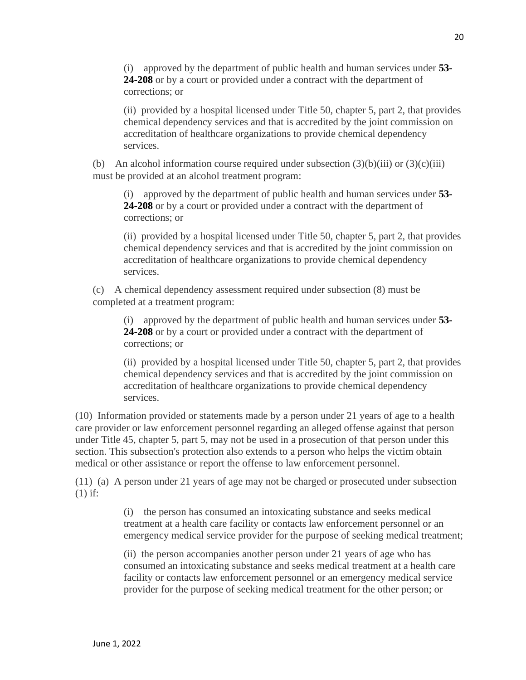(i) approved by the department of public health and human services under **[53-](http://leg.mt.gov/bills/mca/title_0530/chapter_0240/part_0020/section_0080/0530-0240-0020-0080.html) [24-208](http://leg.mt.gov/bills/mca/title_0530/chapter_0240/part_0020/section_0080/0530-0240-0020-0080.html)** or by a court or provided under a contract with the department of corrections; or

(ii) provided by a hospital licensed under Title 50, chapter 5, part 2, that provides chemical dependency services and that is accredited by the joint commission on accreditation of healthcare organizations to provide chemical dependency services.

(b) An alcohol information course required under subsection  $(3)(b)(iii)$  or  $(3)(c)(iii)$ must be provided at an alcohol treatment program:

(i) approved by the department of public health and human services under **[53-](http://leg.mt.gov/bills/mca/title_0530/chapter_0240/part_0020/section_0080/0530-0240-0020-0080.html) [24-208](http://leg.mt.gov/bills/mca/title_0530/chapter_0240/part_0020/section_0080/0530-0240-0020-0080.html)** or by a court or provided under a contract with the department of corrections; or

(ii) provided by a hospital licensed under Title 50, chapter 5, part 2, that provides chemical dependency services and that is accredited by the joint commission on accreditation of healthcare organizations to provide chemical dependency services.

(c) A chemical dependency assessment required under subsection (8) must be completed at a treatment program:

(i) approved by the department of public health and human services under **[53-](http://leg.mt.gov/bills/mca/title_0530/chapter_0240/part_0020/section_0080/0530-0240-0020-0080.html) [24-208](http://leg.mt.gov/bills/mca/title_0530/chapter_0240/part_0020/section_0080/0530-0240-0020-0080.html)** or by a court or provided under a contract with the department of corrections; or

(ii) provided by a hospital licensed under Title 50, chapter 5, part 2, that provides chemical dependency services and that is accredited by the joint commission on accreditation of healthcare organizations to provide chemical dependency services.

(10) Information provided or statements made by a person under 21 years of age to a health care provider or law enforcement personnel regarding an alleged offense against that person under Title 45, chapter 5, part 5, may not be used in a prosecution of that person under this section. This subsection's protection also extends to a person who helps the victim obtain medical or other assistance or report the offense to law enforcement personnel.

(11) (a) A person under 21 years of age may not be charged or prosecuted under subsection (1) if:

> (i) the person has consumed an intoxicating substance and seeks medical treatment at a health care facility or contacts law enforcement personnel or an emergency medical service provider for the purpose of seeking medical treatment;

(ii) the person accompanies another person under 21 years of age who has consumed an intoxicating substance and seeks medical treatment at a health care facility or contacts law enforcement personnel or an emergency medical service provider for the purpose of seeking medical treatment for the other person; or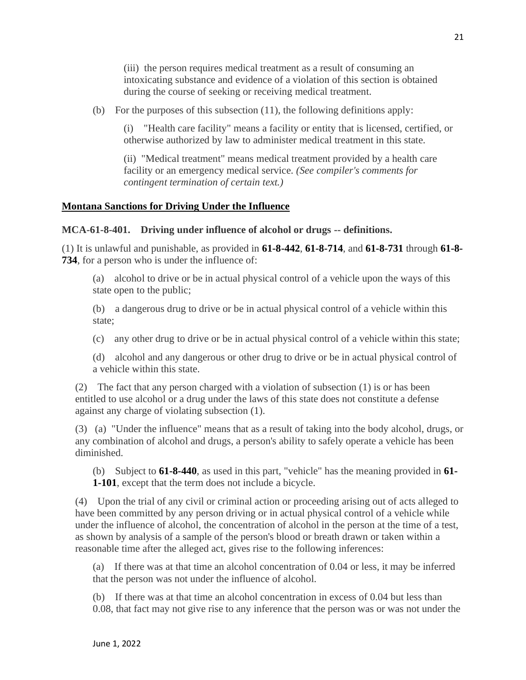(iii) the person requires medical treatment as a result of consuming an intoxicating substance and evidence of a violation of this section is obtained during the course of seeking or receiving medical treatment.

(b) For the purposes of this subsection (11), the following definitions apply:

(i) "Health care facility" means a facility or entity that is licensed, certified, or otherwise authorized by law to administer medical treatment in this state.

(ii) "Medical treatment" means medical treatment provided by a health care facility or an emergency medical service. *(See compiler's comments for contingent termination of certain text.)*

#### **Montana Sanctions for Driving Under the Influence**

#### **MCA-61-8-401. Driving under influence of alcohol or drugs -- definitions.**

(1) It is unlawful and punishable, as provided in **[61-8-442](http://leg.mt.gov/bills/mca/title_0610/chapter_0080/part_0040/section_0420/0610-0080-0040-0420.html)**, **[61-8-714](http://leg.mt.gov/bills/mca/title_0610/chapter_0080/part_0070/section_0140/0610-0080-0070-0140.html)**, and **[61-8-731](http://leg.mt.gov/bills/mca/title_0610/chapter_0080/part_0070/section_0310/0610-0080-0070-0310.html)** through **[61-8-](http://leg.mt.gov/bills/mca/title_0610/chapter_0080/part_0070/section_0340/0610-0080-0070-0340.html) [734](http://leg.mt.gov/bills/mca/title_0610/chapter_0080/part_0070/section_0340/0610-0080-0070-0340.html)**, for a person who is under the influence of:

(a) alcohol to drive or be in actual physical control of a vehicle upon the ways of this state open to the public;

(b) a dangerous drug to drive or be in actual physical control of a vehicle within this state;

(c) any other drug to drive or be in actual physical control of a vehicle within this state;

(d) alcohol and any dangerous or other drug to drive or be in actual physical control of a vehicle within this state.

(2) The fact that any person charged with a violation of subsection (1) is or has been entitled to use alcohol or a drug under the laws of this state does not constitute a defense against any charge of violating subsection (1).

(3) (a) "Under the influence" means that as a result of taking into the body alcohol, drugs, or any combination of alcohol and drugs, a person's ability to safely operate a vehicle has been diminished.

(b) Subject to **[61-8-440](http://leg.mt.gov/bills/mca/title_0610/chapter_0080/part_0040/section_0400/0610-0080-0040-0400.html)**, as used in this part, "vehicle" has the meaning provided in **[61-](http://leg.mt.gov/bills/mca/title_0610/chapter_0010/part_0010/section_0010/0610-0010-0010-0010.html) [1-101](http://leg.mt.gov/bills/mca/title_0610/chapter_0010/part_0010/section_0010/0610-0010-0010-0010.html)**, except that the term does not include a bicycle.

(4) Upon the trial of any civil or criminal action or proceeding arising out of acts alleged to have been committed by any person driving or in actual physical control of a vehicle while under the influence of alcohol, the concentration of alcohol in the person at the time of a test, as shown by analysis of a sample of the person's blood or breath drawn or taken within a reasonable time after the alleged act, gives rise to the following inferences:

(a) If there was at that time an alcohol concentration of 0.04 or less, it may be inferred that the person was not under the influence of alcohol.

(b) If there was at that time an alcohol concentration in excess of 0.04 but less than 0.08, that fact may not give rise to any inference that the person was or was not under the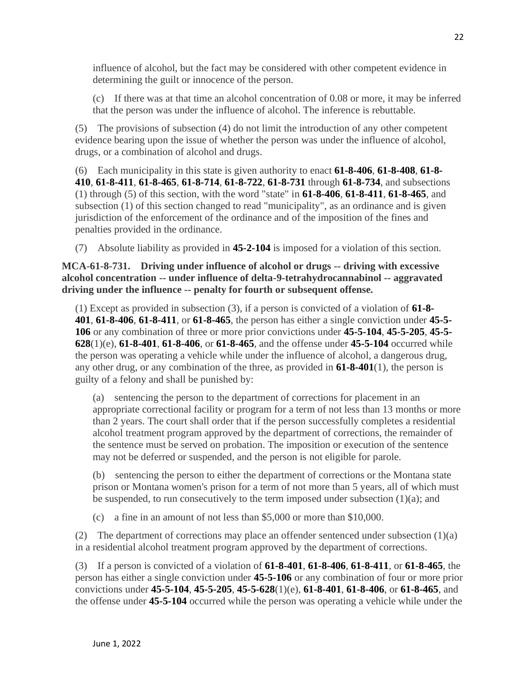influence of alcohol, but the fact may be considered with other competent evidence in determining the guilt or innocence of the person.

(c) If there was at that time an alcohol concentration of 0.08 or more, it may be inferred that the person was under the influence of alcohol. The inference is rebuttable.

(5) The provisions of subsection (4) do not limit the introduction of any other competent evidence bearing upon the issue of whether the person was under the influence of alcohol, drugs, or a combination of alcohol and drugs.

(6) Each municipality in this state is given authority to enact **[61-8-406](http://leg.mt.gov/bills/mca/title_0610/chapter_0080/part_0040/section_0060/0610-0080-0040-0060.html)**, **[61-8-408](http://leg.mt.gov/bills/mca/title_0610/chapter_0080/part_0040/section_0080/0610-0080-0040-0080.html)**, **[61-8-](http://leg.mt.gov/bills/mca/title_0610/chapter_0080/part_0040/section_0100/0610-0080-0040-0100.html) [410](http://leg.mt.gov/bills/mca/title_0610/chapter_0080/part_0040/section_0100/0610-0080-0040-0100.html)**, **[61-8-411](http://leg.mt.gov/bills/mca/title_0610/chapter_0080/part_0040/section_0110/0610-0080-0040-0110.html)**, **[61-8-465](http://leg.mt.gov/bills/mca/title_0610/chapter_0080/part_0040/section_0650/0610-0080-0040-0650.html)**, **[61-8-714](http://leg.mt.gov/bills/mca/title_0610/chapter_0080/part_0070/section_0140/0610-0080-0070-0140.html)**, **[61-8-722](http://leg.mt.gov/bills/mca/title_0610/chapter_0080/part_0070/section_0220/0610-0080-0070-0220.html)**, **[61-8-731](http://leg.mt.gov/bills/mca/title_0610/chapter_0080/part_0070/section_0310/0610-0080-0070-0310.html)** through **[61-8-734](http://leg.mt.gov/bills/mca/title_0610/chapter_0080/part_0070/section_0340/0610-0080-0070-0340.html)**, and subsections (1) through (5) of this section, with the word "state" in **[61-8-406](http://leg.mt.gov/bills/mca/title_0610/chapter_0080/part_0040/section_0060/0610-0080-0040-0060.html)**, **[61-8-411](http://leg.mt.gov/bills/mca/title_0610/chapter_0080/part_0040/section_0110/0610-0080-0040-0110.html)**, **[61-8-465](http://leg.mt.gov/bills/mca/title_0610/chapter_0080/part_0040/section_0650/0610-0080-0040-0650.html)**, and subsection (1) of this section changed to read "municipality", as an ordinance and is given jurisdiction of the enforcement of the ordinance and of the imposition of the fines and penalties provided in the ordinance.

(7) Absolute liability as provided in **[45-2-104](http://leg.mt.gov/bills/mca/title_0450/chapter_0020/part_0010/section_0040/0450-0020-0010-0040.html)** is imposed for a violation of this section.

#### **MCA-61-8-731. Driving under influence of alcohol or drugs -- driving with excessive alcohol concentration -- under influence of delta-9-tetrahydrocannabinol -- aggravated driving under the influence -- penalty for fourth or subsequent offense.**

(1) Except as provided in subsection (3), if a person is convicted of a violation of **[61-8-](http://leg.mt.gov/bills/mca/title_0610/chapter_0080/part_0040/section_0010/0610-0080-0040-0010.html) [401](http://leg.mt.gov/bills/mca/title_0610/chapter_0080/part_0040/section_0010/0610-0080-0040-0010.html)**, **[61-8-406](http://leg.mt.gov/bills/mca/title_0610/chapter_0080/part_0040/section_0060/0610-0080-0040-0060.html)**, **[61-8-411](http://leg.mt.gov/bills/mca/title_0610/chapter_0080/part_0040/section_0110/0610-0080-0040-0110.html)**, or **[61-8-465](http://leg.mt.gov/bills/mca/title_0610/chapter_0080/part_0040/section_0650/0610-0080-0040-0650.html)**, the person has either a single conviction under **[45-5-](http://leg.mt.gov/bills/mca/title_0450/chapter_0050/part_0010/section_0060/0450-0050-0010-0060.html) [106](http://leg.mt.gov/bills/mca/title_0450/chapter_0050/part_0010/section_0060/0450-0050-0010-0060.html)** or any combination of three or more prior convictions under **[45-5-104](http://leg.mt.gov/bills/mca/title_0450/chapter_0050/part_0010/section_0040/0450-0050-0010-0040.html)**, **[45-5-205](http://leg.mt.gov/bills/mca/title_0450/chapter_0050/part_0020/section_0050/0450-0050-0020-0050.html)**, **[45-5-](http://leg.mt.gov/bills/mca/title_0450/chapter_0050/part_0060/section_0280/0450-0050-0060-0280.html) [628](http://leg.mt.gov/bills/mca/title_0450/chapter_0050/part_0060/section_0280/0450-0050-0060-0280.html)**(1)(e), **[61-8-401](http://leg.mt.gov/bills/mca/title_0610/chapter_0080/part_0040/section_0010/0610-0080-0040-0010.html)**, **[61-8-406](http://leg.mt.gov/bills/mca/title_0610/chapter_0080/part_0040/section_0060/0610-0080-0040-0060.html)**, or **[61-8-465](http://leg.mt.gov/bills/mca/title_0610/chapter_0080/part_0040/section_0650/0610-0080-0040-0650.html)**, and the offense under **[45-5-104](http://leg.mt.gov/bills/mca/title_0450/chapter_0050/part_0010/section_0040/0450-0050-0010-0040.html)** occurred while the person was operating a vehicle while under the influence of alcohol, a dangerous drug, any other drug, or any combination of the three, as provided in **[61-8-401](http://leg.mt.gov/bills/mca/title_0610/chapter_0080/part_0040/section_0010/0610-0080-0040-0010.html)**(1), the person is guilty of a felony and shall be punished by:

(a) sentencing the person to the department of corrections for placement in an appropriate correctional facility or program for a term of not less than 13 months or more than 2 years. The court shall order that if the person successfully completes a residential alcohol treatment program approved by the department of corrections, the remainder of the sentence must be served on probation. The imposition or execution of the sentence may not be deferred or suspended, and the person is not eligible for parole.

(b) sentencing the person to either the department of corrections or the Montana state prison or Montana women's prison for a term of not more than 5 years, all of which must be suspended, to run consecutively to the term imposed under subsection  $(1)(a)$ ; and

(c) a fine in an amount of not less than \$5,000 or more than \$10,000.

(2) The department of corrections may place an offender sentenced under subsection (1)(a) in a residential alcohol treatment program approved by the department of corrections.

(3) If a person is convicted of a violation of **[61-8-401](http://leg.mt.gov/bills/mca/title_0610/chapter_0080/part_0040/section_0010/0610-0080-0040-0010.html)**, **[61-8-406](http://leg.mt.gov/bills/mca/title_0610/chapter_0080/part_0040/section_0060/0610-0080-0040-0060.html)**, **[61-8-411](http://leg.mt.gov/bills/mca/title_0610/chapter_0080/part_0040/section_0110/0610-0080-0040-0110.html)**, or **[61-8-465](http://leg.mt.gov/bills/mca/title_0610/chapter_0080/part_0040/section_0650/0610-0080-0040-0650.html)**, the person has either a single conviction under **[45-5-106](http://leg.mt.gov/bills/mca/title_0450/chapter_0050/part_0010/section_0060/0450-0050-0010-0060.html)** or any combination of four or more prior convictions under **[45-5-104](http://leg.mt.gov/bills/mca/title_0450/chapter_0050/part_0010/section_0040/0450-0050-0010-0040.html)**, **[45-5-205](http://leg.mt.gov/bills/mca/title_0450/chapter_0050/part_0020/section_0050/0450-0050-0020-0050.html)**, **[45-5-628](http://leg.mt.gov/bills/mca/title_0450/chapter_0050/part_0060/section_0280/0450-0050-0060-0280.html)**(1)(e), **[61-8-401](http://leg.mt.gov/bills/mca/title_0610/chapter_0080/part_0040/section_0010/0610-0080-0040-0010.html)**, **[61-8-406](http://leg.mt.gov/bills/mca/title_0610/chapter_0080/part_0040/section_0060/0610-0080-0040-0060.html)**, or **[61-8-465](http://leg.mt.gov/bills/mca/title_0610/chapter_0080/part_0040/section_0650/0610-0080-0040-0650.html)**, and the offense under **[45-5-104](http://leg.mt.gov/bills/mca/title_0450/chapter_0050/part_0010/section_0040/0450-0050-0010-0040.html)** occurred while the person was operating a vehicle while under the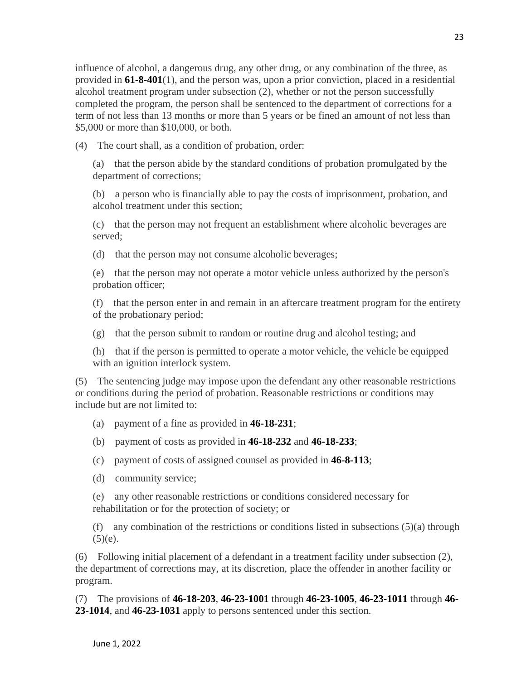influence of alcohol, a dangerous drug, any other drug, or any combination of the three, as provided in **[61-8-401](http://leg.mt.gov/bills/mca/title_0610/chapter_0080/part_0040/section_0010/0610-0080-0040-0010.html)**(1), and the person was, upon a prior conviction, placed in a residential alcohol treatment program under subsection (2), whether or not the person successfully completed the program, the person shall be sentenced to the department of corrections for a term of not less than 13 months or more than 5 years or be fined an amount of not less than \$5,000 or more than \$10,000, or both.

(4) The court shall, as a condition of probation, order:

(a) that the person abide by the standard conditions of probation promulgated by the department of corrections;

(b) a person who is financially able to pay the costs of imprisonment, probation, and alcohol treatment under this section;

(c) that the person may not frequent an establishment where alcoholic beverages are served;

(d) that the person may not consume alcoholic beverages;

(e) that the person may not operate a motor vehicle unless authorized by the person's probation officer;

(f) that the person enter in and remain in an aftercare treatment program for the entirety of the probationary period;

 $(g)$  that the person submit to random or routine drug and alcohol testing; and

(h) that if the person is permitted to operate a motor vehicle, the vehicle be equipped with an ignition interlock system.

(5) The sentencing judge may impose upon the defendant any other reasonable restrictions or conditions during the period of probation. Reasonable restrictions or conditions may include but are not limited to:

(a) payment of a fine as provided in **[46-18-231](http://leg.mt.gov/bills/mca/title_0460/chapter_0180/part_0020/section_0310/0460-0180-0020-0310.html)**;

(b) payment of costs as provided in **[46-18-232](http://leg.mt.gov/bills/mca/title_0460/chapter_0180/part_0020/section_0320/0460-0180-0020-0320.html)** and **[46-18-233](http://leg.mt.gov/bills/mca/title_0460/chapter_0180/part_0020/section_0330/0460-0180-0020-0330.html)**;

(c) payment of costs of assigned counsel as provided in **[46-8-113](http://leg.mt.gov/bills/mca/title_0460/chapter_0080/part_0010/section_0130/0460-0080-0010-0130.html)**;

(d) community service;

(e) any other reasonable restrictions or conditions considered necessary for rehabilitation or for the protection of society; or

(f) any combination of the restrictions or conditions listed in subsections  $(5)(a)$  through  $(5)(e)$ .

(6) Following initial placement of a defendant in a treatment facility under subsection (2), the department of corrections may, at its discretion, place the offender in another facility or program.

(7) The provisions of **[46-18-203](http://leg.mt.gov/bills/mca/title_0460/chapter_0180/part_0020/section_0030/0460-0180-0020-0030.html)**, **[46-23-1001](http://leg.mt.gov/bills/mca/title_0460/chapter_0230/part_0100/section_0010/0460-0230-0100-0010.html)** through **[46-23-1005](http://leg.mt.gov/bills/mca/title_0460/chapter_0230/part_0100/section_0050/0460-0230-0100-0050.html)**, **[46-23-1011](http://leg.mt.gov/bills/mca/title_0460/chapter_0230/part_0100/section_0110/0460-0230-0100-0110.html)** through **[46-](http://leg.mt.gov/bills/mca/title_0460/chapter_0230/part_0100/section_0140/0460-0230-0100-0140.html) [23-1014](http://leg.mt.gov/bills/mca/title_0460/chapter_0230/part_0100/section_0140/0460-0230-0100-0140.html)**, and **[46-23-1031](http://leg.mt.gov/bills/mca/title_0460/chapter_0230/part_0100/section_0310/0460-0230-0100-0310.html)** apply to persons sentenced under this section.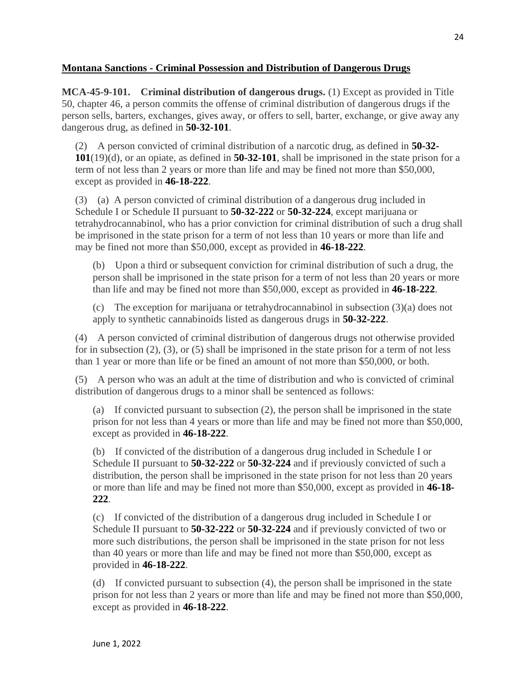#### **Montana Sanctions - Criminal Possession and Distribution of Dangerous Drugs**

**MCA-45-9-101. Criminal distribution of dangerous drugs.** (1) Except as provided in Title 50, chapter 46, a person commits the offense of criminal distribution of dangerous drugs if the person sells, barters, exchanges, gives away, or offers to sell, barter, exchange, or give away any dangerous drug, as defined in **[50-32-101](http://leg.mt.gov/bills/mca/title_0500/chapter_0320/part_0010/section_0010/0500-0320-0010-0010.html)**.

(2) A person convicted of criminal distribution of a narcotic drug, as defined in **[50-32-](http://leg.mt.gov/bills/mca/title_0500/chapter_0320/part_0010/section_0010/0500-0320-0010-0010.html) [101](http://leg.mt.gov/bills/mca/title_0500/chapter_0320/part_0010/section_0010/0500-0320-0010-0010.html)**(19)(d), or an opiate, as defined in **[50-32-101](http://leg.mt.gov/bills/mca/title_0500/chapter_0320/part_0010/section_0010/0500-0320-0010-0010.html)**, shall be imprisoned in the state prison for a term of not less than 2 years or more than life and may be fined not more than \$50,000, except as provided in **[46-18-222](http://leg.mt.gov/bills/mca/title_0460/chapter_0180/part_0020/section_0220/0460-0180-0020-0220.html)**.

(3) (a) A person convicted of criminal distribution of a dangerous drug included in Schedule I or Schedule II pursuant to **[50-32-222](http://leg.mt.gov/bills/mca/title_0500/chapter_0320/part_0020/section_0220/0500-0320-0020-0220.html)** or **[50-32-224](http://leg.mt.gov/bills/mca/title_0500/chapter_0320/part_0020/section_0240/0500-0320-0020-0240.html)**, except marijuana or tetrahydrocannabinol, who has a prior conviction for criminal distribution of such a drug shall be imprisoned in the state prison for a term of not less than 10 years or more than life and may be fined not more than \$50,000, except as provided in **[46-18-222](http://leg.mt.gov/bills/mca/title_0460/chapter_0180/part_0020/section_0220/0460-0180-0020-0220.html)**.

(b) Upon a third or subsequent conviction for criminal distribution of such a drug, the person shall be imprisoned in the state prison for a term of not less than 20 years or more than life and may be fined not more than \$50,000, except as provided in **[46-18-222](http://leg.mt.gov/bills/mca/title_0460/chapter_0180/part_0020/section_0220/0460-0180-0020-0220.html)**.

(c) The exception for marijuana or tetrahydrocannabinol in subsection (3)(a) does not apply to synthetic cannabinoids listed as dangerous drugs in **[50-32-222](http://leg.mt.gov/bills/mca/title_0500/chapter_0320/part_0020/section_0220/0500-0320-0020-0220.html)**.

(4) A person convicted of criminal distribution of dangerous drugs not otherwise provided for in subsection (2), (3), or (5) shall be imprisoned in the state prison for a term of not less than 1 year or more than life or be fined an amount of not more than \$50,000, or both.

(5) A person who was an adult at the time of distribution and who is convicted of criminal distribution of dangerous drugs to a minor shall be sentenced as follows:

(a) If convicted pursuant to subsection (2), the person shall be imprisoned in the state prison for not less than 4 years or more than life and may be fined not more than \$50,000, except as provided in **[46-18-222](http://leg.mt.gov/bills/mca/title_0460/chapter_0180/part_0020/section_0220/0460-0180-0020-0220.html)**.

(b) If convicted of the distribution of a dangerous drug included in Schedule I or Schedule II pursuant to **[50-32-222](http://leg.mt.gov/bills/mca/title_0500/chapter_0320/part_0020/section_0220/0500-0320-0020-0220.html)** or **[50-32-224](http://leg.mt.gov/bills/mca/title_0500/chapter_0320/part_0020/section_0240/0500-0320-0020-0240.html)** and if previously convicted of such a distribution, the person shall be imprisoned in the state prison for not less than 20 years or more than life and may be fined not more than \$50,000, except as provided in **[46-18-](http://leg.mt.gov/bills/mca/title_0460/chapter_0180/part_0020/section_0220/0460-0180-0020-0220.html) [222](http://leg.mt.gov/bills/mca/title_0460/chapter_0180/part_0020/section_0220/0460-0180-0020-0220.html)**.

(c) If convicted of the distribution of a dangerous drug included in Schedule I or Schedule II pursuant to **[50-32-222](http://leg.mt.gov/bills/mca/title_0500/chapter_0320/part_0020/section_0220/0500-0320-0020-0220.html)** or **[50-32-224](http://leg.mt.gov/bills/mca/title_0500/chapter_0320/part_0020/section_0240/0500-0320-0020-0240.html)** and if previously convicted of two or more such distributions, the person shall be imprisoned in the state prison for not less than 40 years or more than life and may be fined not more than \$50,000, except as provided in **[46-18-222](http://leg.mt.gov/bills/mca/title_0460/chapter_0180/part_0020/section_0220/0460-0180-0020-0220.html)**.

(d) If convicted pursuant to subsection (4), the person shall be imprisoned in the state prison for not less than 2 years or more than life and may be fined not more than \$50,000, except as provided in **[46-18-222](http://leg.mt.gov/bills/mca/title_0460/chapter_0180/part_0020/section_0220/0460-0180-0020-0220.html)**.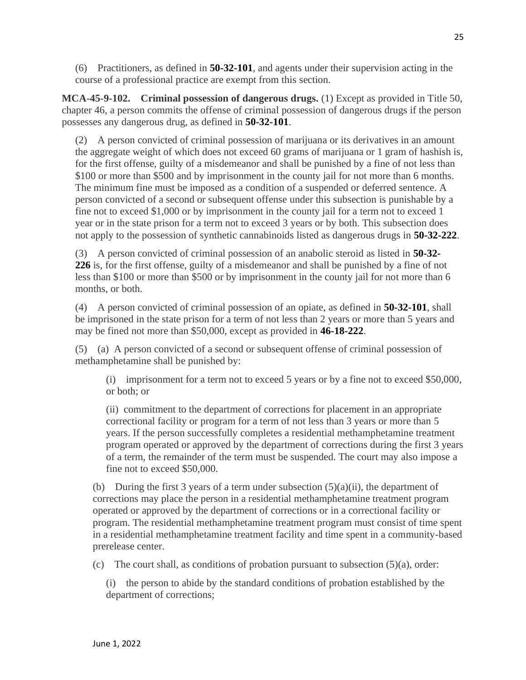(6) Practitioners, as defined in **[50-32-101](http://leg.mt.gov/bills/mca/title_0500/chapter_0320/part_0010/section_0010/0500-0320-0010-0010.html)**, and agents under their supervision acting in the course of a professional practice are exempt from this section.

**MCA-45-9-102. Criminal possession of dangerous drugs.** (1) Except as provided in Title 50, chapter 46, a person commits the offense of criminal possession of dangerous drugs if the person possesses any dangerous drug, as defined in **[50-32-101](http://leg.mt.gov/bills/mca/title_0500/chapter_0320/part_0010/section_0010/0500-0320-0010-0010.html)**.

(2) A person convicted of criminal possession of marijuana or its derivatives in an amount the aggregate weight of which does not exceed 60 grams of marijuana or 1 gram of hashish is, for the first offense, guilty of a misdemeanor and shall be punished by a fine of not less than \$100 or more than \$500 and by imprisonment in the county jail for not more than 6 months. The minimum fine must be imposed as a condition of a suspended or deferred sentence. A person convicted of a second or subsequent offense under this subsection is punishable by a fine not to exceed \$1,000 or by imprisonment in the county jail for a term not to exceed 1 year or in the state prison for a term not to exceed 3 years or by both. This subsection does not apply to the possession of synthetic cannabinoids listed as dangerous drugs in **[50-32-222](http://leg.mt.gov/bills/mca/title_0500/chapter_0320/part_0020/section_0220/0500-0320-0020-0220.html)**.

(3) A person convicted of criminal possession of an anabolic steroid as listed in **[50-32-](http://leg.mt.gov/bills/mca/title_0500/chapter_0320/part_0020/section_0260/0500-0320-0020-0260.html) [226](http://leg.mt.gov/bills/mca/title_0500/chapter_0320/part_0020/section_0260/0500-0320-0020-0260.html)** is, for the first offense, guilty of a misdemeanor and shall be punished by a fine of not less than \$100 or more than \$500 or by imprisonment in the county jail for not more than 6 months, or both.

(4) A person convicted of criminal possession of an opiate, as defined in **[50-32-101](http://leg.mt.gov/bills/mca/title_0500/chapter_0320/part_0010/section_0010/0500-0320-0010-0010.html)**, shall be imprisoned in the state prison for a term of not less than 2 years or more than 5 years and may be fined not more than \$50,000, except as provided in **[46-18-222](http://leg.mt.gov/bills/mca/title_0460/chapter_0180/part_0020/section_0220/0460-0180-0020-0220.html)**.

(5) (a) A person convicted of a second or subsequent offense of criminal possession of methamphetamine shall be punished by:

(i) imprisonment for a term not to exceed 5 years or by a fine not to exceed \$50,000, or both; or

(ii) commitment to the department of corrections for placement in an appropriate correctional facility or program for a term of not less than 3 years or more than 5 years. If the person successfully completes a residential methamphetamine treatment program operated or approved by the department of corrections during the first 3 years of a term, the remainder of the term must be suspended. The court may also impose a fine not to exceed \$50,000.

(b) During the first 3 years of a term under subsection  $(5)(a)(ii)$ , the department of corrections may place the person in a residential methamphetamine treatment program operated or approved by the department of corrections or in a correctional facility or program. The residential methamphetamine treatment program must consist of time spent in a residential methamphetamine treatment facility and time spent in a community-based prerelease center.

(c) The court shall, as conditions of probation pursuant to subsection  $(5)(a)$ , order:

(i) the person to abide by the standard conditions of probation established by the department of corrections;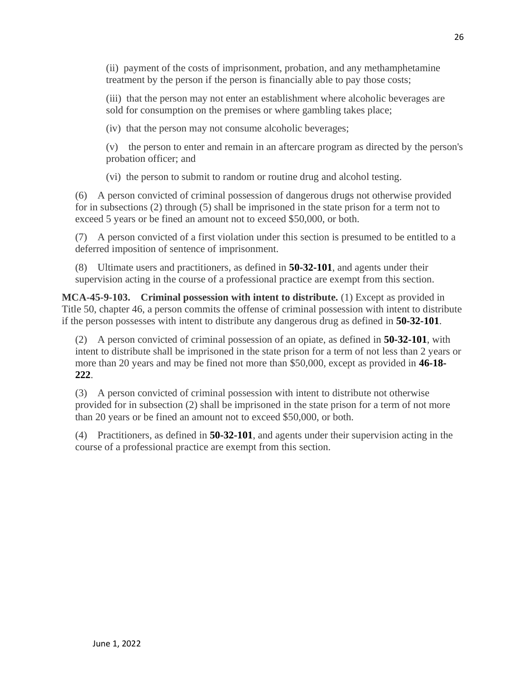(ii) payment of the costs of imprisonment, probation, and any methamphetamine treatment by the person if the person is financially able to pay those costs;

(iii) that the person may not enter an establishment where alcoholic beverages are sold for consumption on the premises or where gambling takes place;

(iv) that the person may not consume alcoholic beverages;

(v) the person to enter and remain in an aftercare program as directed by the person's probation officer; and

(vi) the person to submit to random or routine drug and alcohol testing.

(6) A person convicted of criminal possession of dangerous drugs not otherwise provided for in subsections (2) through (5) shall be imprisoned in the state prison for a term not to exceed 5 years or be fined an amount not to exceed \$50,000, or both.

(7) A person convicted of a first violation under this section is presumed to be entitled to a deferred imposition of sentence of imprisonment.

(8) Ultimate users and practitioners, as defined in **[50-32-101](http://leg.mt.gov/bills/mca/title_0500/chapter_0320/part_0010/section_0010/0500-0320-0010-0010.html)**, and agents under their supervision acting in the course of a professional practice are exempt from this section.

**MCA-45-9-103. Criminal possession with intent to distribute.** (1) Except as provided in Title 50, chapter 46, a person commits the offense of criminal possession with intent to distribute if the person possesses with intent to distribute any dangerous drug as defined in **[50-32-101](http://leg.mt.gov/bills/mca/title_0500/chapter_0320/part_0010/section_0010/0500-0320-0010-0010.html)**.

(2) A person convicted of criminal possession of an opiate, as defined in **[50-32-101](http://leg.mt.gov/bills/mca/title_0500/chapter_0320/part_0010/section_0010/0500-0320-0010-0010.html)**, with intent to distribute shall be imprisoned in the state prison for a term of not less than 2 years or more than 20 years and may be fined not more than \$50,000, except as provided in **[46-18-](http://leg.mt.gov/bills/mca/title_0460/chapter_0180/part_0020/section_0220/0460-0180-0020-0220.html) [222](http://leg.mt.gov/bills/mca/title_0460/chapter_0180/part_0020/section_0220/0460-0180-0020-0220.html)**.

(3) A person convicted of criminal possession with intent to distribute not otherwise provided for in subsection (2) shall be imprisoned in the state prison for a term of not more than 20 years or be fined an amount not to exceed \$50,000, or both.

(4) Practitioners, as defined in **[50-32-101](http://leg.mt.gov/bills/mca/title_0500/chapter_0320/part_0010/section_0010/0500-0320-0010-0010.html)**, and agents under their supervision acting in the course of a professional practice are exempt from this section.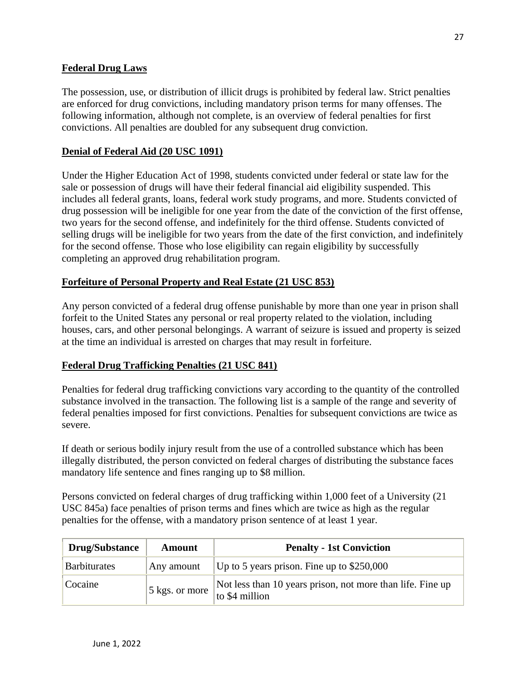#### **Federal Drug Laws**

The possession, use, or distribution of illicit drugs is prohibited by federal law. Strict penalties are enforced for drug convictions, including mandatory prison terms for many offenses. The following information, although not complete, is an overview of federal penalties for first convictions. All penalties are doubled for any subsequent drug conviction.

#### **Denial of Federal Aid (20 USC 1091)**

Under the Higher Education Act of 1998, students convicted under federal or state law for the sale or possession of drugs will have their federal financial aid eligibility suspended. This includes all federal grants, loans, federal work study programs, and more. Students convicted of drug possession will be ineligible for one year from the date of the conviction of the first offense, two years for the second offense, and indefinitely for the third offense. Students convicted of selling drugs will be ineligible for two years from the date of the first conviction, and indefinitely for the second offense. Those who lose eligibility can regain eligibility by successfully completing an approved drug rehabilitation program.

#### **Forfeiture of Personal Property and Real Estate (21 USC 853)**

Any person convicted of a federal drug offense punishable by more than one year in prison shall forfeit to the United States any personal or real property related to the violation, including houses, cars, and other personal belongings. A warrant of seizure is issued and property is seized at the time an individual is arrested on charges that may result in forfeiture.

#### **Federal Drug Trafficking Penalties (21 USC 841)**

Penalties for federal drug trafficking convictions vary according to the quantity of the controlled substance involved in the transaction. The following list is a sample of the range and severity of federal penalties imposed for first convictions. Penalties for subsequent convictions are twice as severe.

If death or serious bodily injury result from the use of a controlled substance which has been illegally distributed, the person convicted on federal charges of distributing the substance faces mandatory life sentence and fines ranging up to \$8 million.

Persons convicted on federal charges of drug trafficking within 1,000 feet of a University (21 USC 845a) face penalties of prison terms and fines which are twice as high as the regular penalties for the offense, with a mandatory prison sentence of at least 1 year.

| <b>Drug/Substance</b> | Amount         | <b>Penalty - 1st Conviction</b>                                              |
|-----------------------|----------------|------------------------------------------------------------------------------|
| <b>Barbiturates</b>   | Any amount     | Up to 5 years prison. Fine up to $$250,000$                                  |
| Cocaine               | 5 kgs. or more | Not less than 10 years prison, not more than life. Fine up<br>to \$4 million |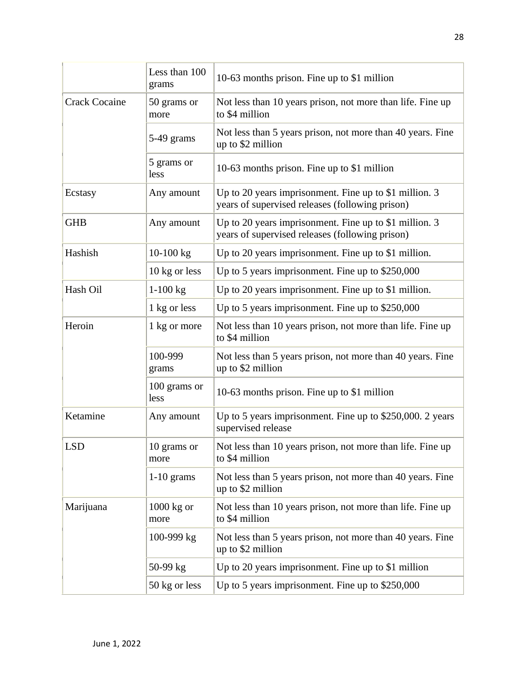|                      | Less than 100<br>grams | 10-63 months prison. Fine up to \$1 million                                                                 |  |
|----------------------|------------------------|-------------------------------------------------------------------------------------------------------------|--|
| <b>Crack Cocaine</b> | 50 grams or<br>more    | Not less than 10 years prison, not more than life. Fine up<br>to \$4 million                                |  |
|                      | 5-49 grams             | Not less than 5 years prison, not more than 40 years. Fine<br>up to \$2 million                             |  |
|                      | 5 grams or<br>less     | 10-63 months prison. Fine up to \$1 million                                                                 |  |
| Ecstasy              | Any amount             | Up to 20 years imprisonment. Fine up to \$1 million. $3$<br>years of supervised releases (following prison) |  |
| <b>GHB</b>           | Any amount             | Up to 20 years imprisonment. Fine up to \$1 million. $3$<br>years of supervised releases (following prison) |  |
| Hashish              | $10-100$ kg            | Up to 20 years imprisonment. Fine up to \$1 million.                                                        |  |
|                      | 10 kg or less          | Up to 5 years imprisonment. Fine up to \$250,000                                                            |  |
| Hash Oil             | $1-100$ kg             | Up to 20 years imprisonment. Fine up to $$1$ million.                                                       |  |
|                      | 1 kg or less           | Up to 5 years imprisonment. Fine up to $$250,000$                                                           |  |
| Heroin               | 1 kg or more           | Not less than 10 years prison, not more than life. Fine up<br>to \$4 million                                |  |
|                      | 100-999<br>grams       | Not less than 5 years prison, not more than 40 years. Fine<br>up to \$2 million                             |  |
|                      | 100 grams or<br>less   | 10-63 months prison. Fine up to \$1 million                                                                 |  |
| Ketamine             | Any amount             | Up to 5 years imprisonment. Fine up to \$250,000. 2 years<br>supervised release                             |  |
| <b>LSD</b>           | 10 grams or<br>more    | Not less than 10 years prison, not more than life. Fine up<br>to \$4 million                                |  |
|                      | $1-10$ grams           | Not less than 5 years prison, not more than 40 years. Fine<br>up to \$2 million                             |  |
| Marijuana            | $1000$ kg or<br>more   | Not less than 10 years prison, not more than life. Fine up<br>to \$4 million                                |  |
|                      | 100-999 kg             | Not less than 5 years prison, not more than 40 years. Fine<br>up to \$2 million                             |  |
|                      | $50-99$ kg             | Up to 20 years imprisonment. Fine up to $$1$ million                                                        |  |
|                      | 50 kg or less          | Up to 5 years imprisonment. Fine up to $$250,000$                                                           |  |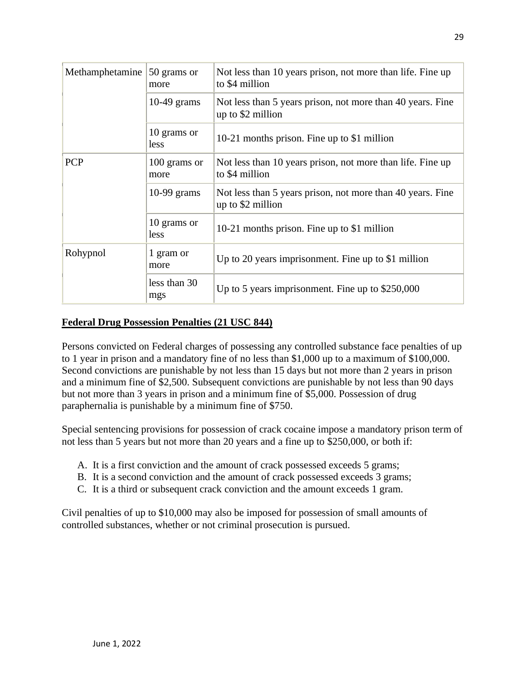| Methamphetamine | 50 grams or<br>more  | Not less than 10 years prison, not more than life. Fine up<br>to \$4 million    |  |
|-----------------|----------------------|---------------------------------------------------------------------------------|--|
|                 | 10-49 grams          | Not less than 5 years prison, not more than 40 years. Fine<br>up to \$2 million |  |
|                 | 10 grams or<br>less  | 10-21 months prison. Fine up to \$1 million                                     |  |
| <b>PCP</b>      | 100 grams or<br>more | Not less than 10 years prison, not more than life. Fine up<br>to \$4 million    |  |
|                 | $10-99$ grams        | Not less than 5 years prison, not more than 40 years. Fine<br>up to \$2 million |  |
|                 | 10 grams or<br>less  | 10-21 months prison. Fine up to \$1 million                                     |  |
| Rohypnol        | 1 gram or<br>more    | Up to 20 years imprisonment. Fine up to $$1$ million                            |  |
|                 | less than 30<br>mgs  | Up to 5 years imprisonment. Fine up to $$250,000$                               |  |

#### **Federal Drug Possession Penalties (21 USC 844)**

Persons convicted on Federal charges of possessing any controlled substance face penalties of up to 1 year in prison and a mandatory fine of no less than \$1,000 up to a maximum of \$100,000. Second convictions are punishable by not less than 15 days but not more than 2 years in prison and a minimum fine of \$2,500. Subsequent convictions are punishable by not less than 90 days but not more than 3 years in prison and a minimum fine of \$5,000. Possession of drug paraphernalia is punishable by a minimum fine of \$750.

Special sentencing provisions for possession of crack cocaine impose a mandatory prison term of not less than 5 years but not more than 20 years and a fine up to \$250,000, or both if:

- A. It is a first conviction and the amount of crack possessed exceeds 5 grams;
- B. It is a second conviction and the amount of crack possessed exceeds 3 grams;
- C. It is a third or subsequent crack conviction and the amount exceeds 1 gram.

Civil penalties of up to \$10,000 may also be imposed for possession of small amounts of controlled substances, whether or not criminal prosecution is pursued.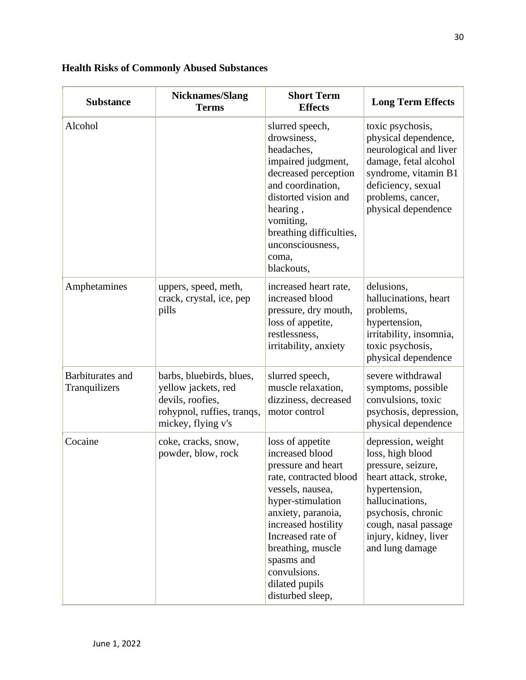### **Health Risks of Commonly Abused Substances**

| <b>Substance</b>                  | <b>Nicknames/Slang</b><br><b>Terms</b>                                                                                  | <b>Short Term</b><br><b>Effects</b>                                                                                                                                                                                                                                                     | <b>Long Term Effects</b>                                                                                                                                                                                            |
|-----------------------------------|-------------------------------------------------------------------------------------------------------------------------|-----------------------------------------------------------------------------------------------------------------------------------------------------------------------------------------------------------------------------------------------------------------------------------------|---------------------------------------------------------------------------------------------------------------------------------------------------------------------------------------------------------------------|
| Alcohol                           |                                                                                                                         | slurred speech,<br>drowsiness,<br>headaches,<br>impaired judgment,<br>decreased perception<br>and coordination,<br>distorted vision and<br>hearing,<br>vomiting,<br>breathing difficulties,<br>unconsciousness,<br>coma,<br>blackouts,                                                  | toxic psychosis,<br>physical dependence,<br>neurological and liver<br>damage, fetal alcohol<br>syndrome, vitamin B1<br>deficiency, sexual<br>problems, cancer,<br>physical dependence                               |
| Amphetamines                      | uppers, speed, meth,<br>crack, crystal, ice, pep<br>pills                                                               | increased heart rate,<br>increased blood<br>pressure, dry mouth,<br>loss of appetite,<br>restlessness,<br>irritability, anxiety                                                                                                                                                         | delusions,<br>hallucinations, heart<br>problems,<br>hypertension,<br>irritability, insomnia,<br>toxic psychosis,<br>physical dependence                                                                             |
| Barbiturates and<br>Tranquilizers | barbs, bluebirds, blues,<br>yellow jackets, red<br>devils, roofies,<br>rohypnol, ruffies, tranqs,<br>mickey, flying v's | slurred speech,<br>muscle relaxation,<br>dizziness, decreased<br>motor control                                                                                                                                                                                                          | severe withdrawal<br>symptoms, possible<br>convulsions, toxic<br>psychosis, depression,<br>physical dependence                                                                                                      |
| Cocaine                           | coke, cracks, snow,<br>powder, blow, rock                                                                               | loss of appetite<br>increased blood<br>pressure and heart<br>rate, contracted blood<br>vessels, nausea,<br>hyper-stimulation<br>anxiety, paranoia,<br>increased hostility<br>Increased rate of<br>breathing, muscle<br>spasms and<br>convulsions.<br>dilated pupils<br>disturbed sleep, | depression, weight<br>loss, high blood<br>pressure, seizure,<br>heart attack, stroke,<br>hypertension,<br>hallucinations,<br>psychosis, chronic<br>cough, nasal passage<br>injury, kidney, liver<br>and lung damage |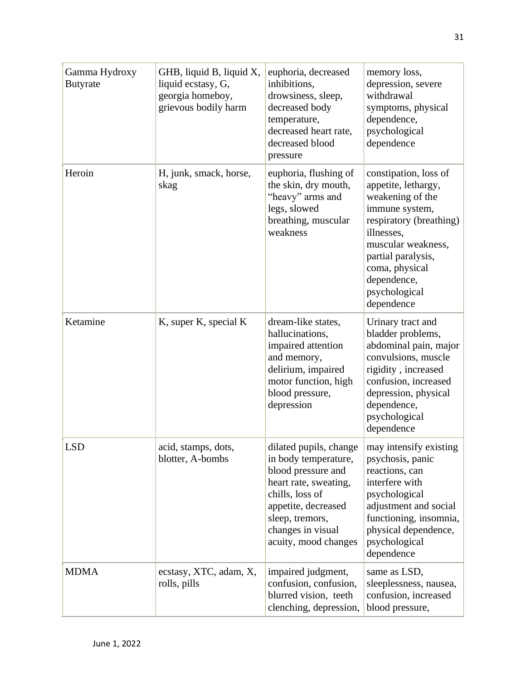| Gamma Hydroxy<br><b>Butyrate</b> | GHB, liquid B, liquid X,<br>liquid ecstasy, G,<br>georgia homeboy,<br>grievous bodily harm | euphoria, decreased<br>inhibitions,<br>drowsiness, sleep,<br>decreased body<br>temperature,<br>decreased heart rate,<br>decreased blood<br>pressure                           | memory loss,<br>depression, severe<br>withdrawal<br>symptoms, physical<br>dependence,<br>psychological<br>dependence                                                                                                                     |
|----------------------------------|--------------------------------------------------------------------------------------------|-------------------------------------------------------------------------------------------------------------------------------------------------------------------------------|------------------------------------------------------------------------------------------------------------------------------------------------------------------------------------------------------------------------------------------|
| Heroin                           | H, junk, smack, horse,<br>skag                                                             | euphoria, flushing of<br>the skin, dry mouth,<br>"heavy" arms and<br>legs, slowed<br>breathing, muscular<br>weakness                                                          | constipation, loss of<br>appetite, lethargy,<br>weakening of the<br>immune system,<br>respiratory (breathing)<br>illnesses,<br>muscular weakness,<br>partial paralysis,<br>coma, physical<br>dependence,<br>psychological<br>dependence  |
| Ketamine                         | K, super K, special K                                                                      | dream-like states,<br>hallucinations,<br>impaired attention<br>and memory,<br>delirium, impaired<br>motor function, high<br>blood pressure,<br>depression                     | Urinary tract and<br>bladder problems,<br>abdominal pain, major<br>convulsions, muscle<br>rigidity, increased<br>confusion, increased<br>depression, physical<br>dependence,<br>psychological<br>dependence                              |
| <b>LSD</b>                       | acid, stamps, dots,<br>blotter, A-bombs                                                    | in body temperature,<br>blood pressure and<br>heart rate, sweating,<br>chills, loss of<br>appetite, decreased<br>sleep, tremors,<br>changes in visual<br>acuity, mood changes | dilated pupils, change $\vert$ may intensify existing<br>psychosis, panic<br>reactions, can<br>interfere with<br>psychological<br>adjustment and social<br>functioning, insomnia,<br>physical dependence,<br>psychological<br>dependence |
| <b>MDMA</b>                      | ecstasy, XTC, adam, X,<br>rolls, pills                                                     | impaired judgment,<br>confusion, confusion,<br>blurred vision, teeth<br>clenching, depression,                                                                                | same as LSD,<br>sleeplessness, nausea,<br>confusion, increased<br>blood pressure,                                                                                                                                                        |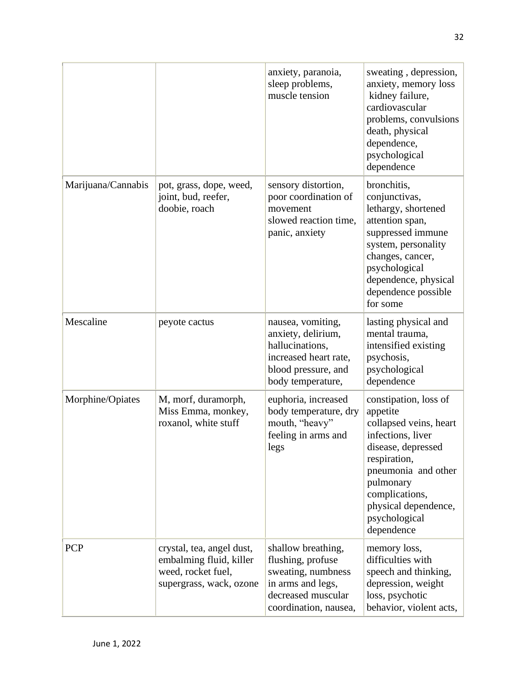|                    |                                                                                                       | anxiety, paranoia,<br>sleep problems,<br>muscle tension                                                                           | sweating, depression,<br>anxiety, memory loss<br>kidney failure,<br>cardiovascular<br>problems, convulsions<br>death, physical<br>dependence,<br>psychological<br>dependence                                                        |
|--------------------|-------------------------------------------------------------------------------------------------------|-----------------------------------------------------------------------------------------------------------------------------------|-------------------------------------------------------------------------------------------------------------------------------------------------------------------------------------------------------------------------------------|
| Marijuana/Cannabis | pot, grass, dope, weed,<br>joint, bud, reefer,<br>doobie, roach                                       | sensory distortion,<br>poor coordination of<br>movement<br>slowed reaction time,<br>panic, anxiety                                | bronchitis,<br>conjunctivas,<br>lethargy, shortened<br>attention span,<br>suppressed immune<br>system, personality<br>changes, cancer,<br>psychological<br>dependence, physical<br>dependence possible<br>for some                  |
| Mescaline          | peyote cactus                                                                                         | nausea, vomiting,<br>anxiety, delirium,<br>hallucinations,<br>increased heart rate,<br>blood pressure, and<br>body temperature,   | lasting physical and<br>mental trauma,<br>intensified existing<br>psychosis,<br>psychological<br>dependence                                                                                                                         |
| Morphine/Opiates   | M, morf, duramorph,<br>Miss Emma, monkey,<br>roxanol, white stuff                                     | euphoria, increased<br>body temperature, dry<br>mouth, "heavy"<br>feeling in arms and<br>legs                                     | constipation, loss of<br>appetite<br>collapsed veins, heart<br>infections, liver<br>disease, depressed<br>respiration,<br>pneumonia and other<br>pulmonary<br>complications,<br>physical dependence,<br>psychological<br>dependence |
| <b>PCP</b>         | crystal, tea, angel dust,<br>embalming fluid, killer<br>weed, rocket fuel,<br>supergrass, wack, ozone | shallow breathing,<br>flushing, profuse<br>sweating, numbness<br>in arms and legs,<br>decreased muscular<br>coordination, nausea, | memory loss,<br>difficulties with<br>speech and thinking,<br>depression, weight<br>loss, psychotic<br>behavior, violent acts,                                                                                                       |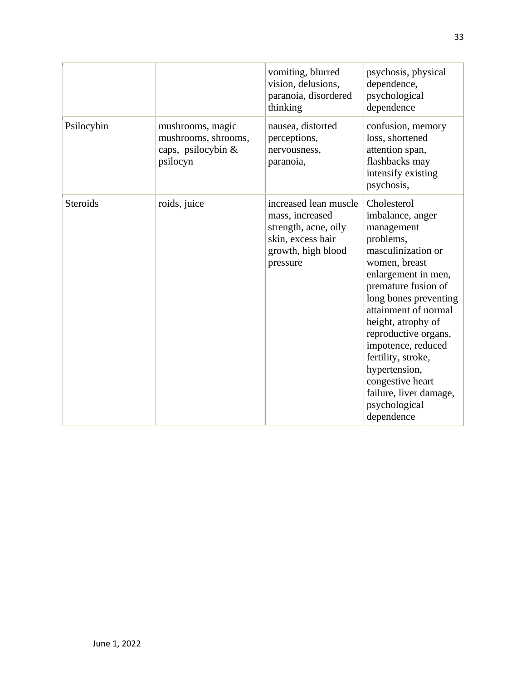|            |                                                                           | vomiting, blurred<br>vision, delusions,<br>paranoia, disordered<br>thinking                                             | psychosis, physical<br>dependence,<br>psychological<br>dependence                                                                                                                                                                                                                                                                                                                        |
|------------|---------------------------------------------------------------------------|-------------------------------------------------------------------------------------------------------------------------|------------------------------------------------------------------------------------------------------------------------------------------------------------------------------------------------------------------------------------------------------------------------------------------------------------------------------------------------------------------------------------------|
| Psilocybin | mushrooms, magic<br>mushrooms, shrooms,<br>caps, psilocybin &<br>psilocyn | nausea, distorted<br>perceptions,<br>nervousness,<br>paranoia,                                                          | confusion, memory<br>loss, shortened<br>attention span,<br>flashbacks may<br>intensify existing<br>psychosis,                                                                                                                                                                                                                                                                            |
| Steroids   | roids, juice                                                              | increased lean muscle<br>mass, increased<br>strength, acne, oily<br>skin, excess hair<br>growth, high blood<br>pressure | Cholesterol<br>imbalance, anger<br>management<br>problems,<br>masculinization or<br>women, breast<br>enlargement in men,<br>premature fusion of<br>long bones preventing<br>attainment of normal<br>height, atrophy of<br>reproductive organs,<br>impotence, reduced<br>fertility, stroke,<br>hypertension,<br>congestive heart<br>failure, liver damage,<br>psychological<br>dependence |